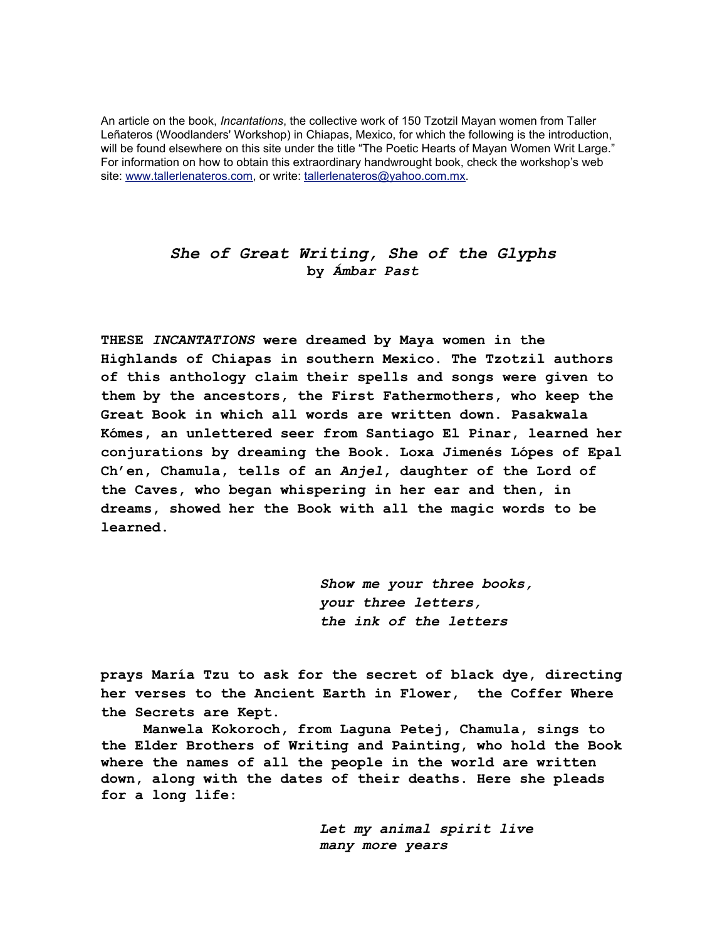An article on the book, *Incantations*, the collective work of 150 Tzotzil Mayan women from Taller Leñateros (Woodlanders' Workshop) in Chiapas, Mexico, for which the following is the introduction, will be found elsewhere on this site under the title "The Poetic Hearts of Mayan Women Writ Large." For information on how to obtain this extraordinary handwrought book, check the workshop's web site: www.tallerlenateros.com, or write: tallerlenateros@yahoo.com.mx.

## *She of Great Writing, She of the Glyphs* **by** *Ámbar Past*

**THESE** *INCANTATIONS* **were dreamed by Maya women in the Highlands of Chiapas in southern Mexico. The Tzotzil authors of this anthology claim their spells and songs were given to them by the ancestors, the First Fathermothers, who keep the Great Book in which all words are written down. Pasakwala Kómes, an unlettered seer from Santiago El Pinar, learned her conjurations by dreaming the Book. Loxa Jimenés Lópes of Epal Ch'en, Chamula, tells of an** *Anjel***, daughter of the Lord of the Caves, who began whispering in her ear and then, in dreams, showed her the Book with all the magic words to be learned.**

> *Show me your three books, your three letters, the ink of the letters*

**prays María Tzu to ask for the secret of black dye, directing her verses to the Ancient Earth in Flower, the Coffer Where the Secrets are Kept.**

 **Manwela Kokoroch, from Laguna Petej, Chamula, sings to the Elder Brothers of Writing and Painting, who hold the Book where the names of all the people in the world are written down, along with the dates of their deaths. Here she pleads for a long life:**

> *Let my animal spirit live many more years*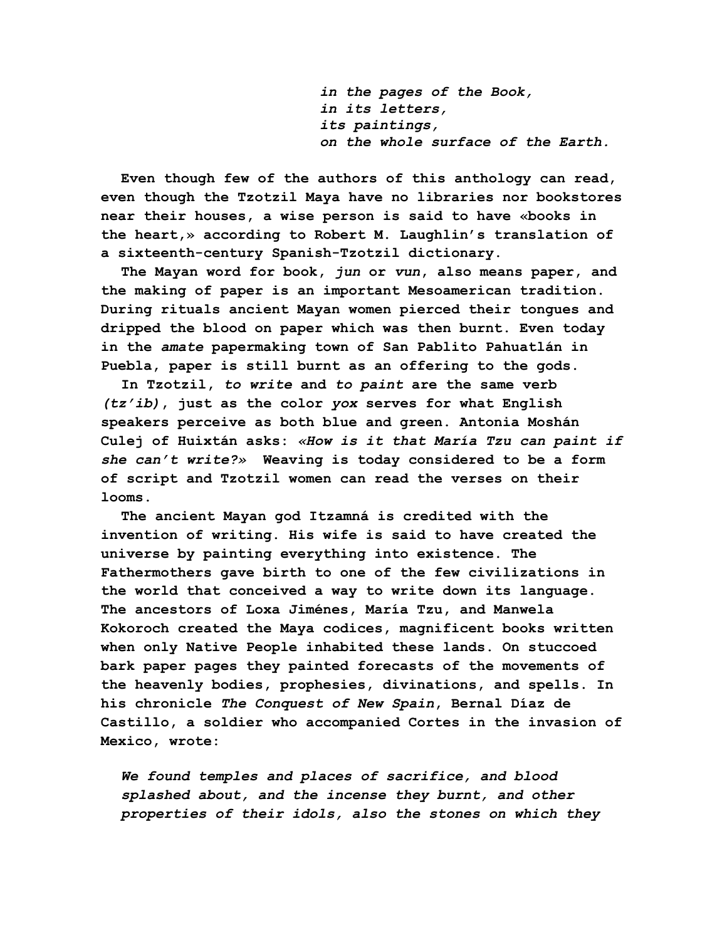*in the pages of the Book, in its letters, its paintings, on the whole surface of the Earth.*

**Even though few of the authors of this anthology can read, even though the Tzotzil Maya have no libraries nor bookstores near their houses, a wise person is said to have «books in the heart,» according to Robert M. Laughlin's translation of a sixteenth-century Spanish-Tzotzil dictionary.**

**The Mayan word for book,** *jun* **or** *vun***, also means paper, and the making of paper is an important Mesoamerican tradition. During rituals ancient Mayan women pierced their tongues and dripped the blood on paper which was then burnt. Even today in the** *amate* **papermaking town of San Pablito Pahuatlán in Puebla, paper is still burnt as an offering to the gods.**

**In Tzotzil,** *to write* **and** *to paint* **are the same verb** *(tz'ib)***, just as the color** *yox* **serves for what English speakers perceive as both blue and green. Antonia Moshán Culej of Huixtán asks:** *«How is it that María Tzu can paint if she can't write?»* **Weaving is today considered to be a form of script and Tzotzil women can read the verses on their looms.**

**The ancient Mayan god Itzamná is credited with the invention of writing. His wife is said to have created the universe by painting everything into existence. The Fathermothers gave birth to one of the few civilizations in the world that conceived a way to write down its language. The ancestors of Loxa Jiménes, María Tzu, and Manwela Kokoroch created the Maya codices, magnificent books written when only Native People inhabited these lands. On stuccoed bark paper pages they painted forecasts of the movements of the heavenly bodies, prophesies, divinations, and spells. In his chronicle** *The Conquest of New Spain***, Bernal Díaz de Castillo, a soldier who accompanied Cortes in the invasion of Mexico, wrote:**

*We found temples and places of sacrifice, and blood splashed about, and the incense they burnt, and other properties of their idols, also the stones on which they*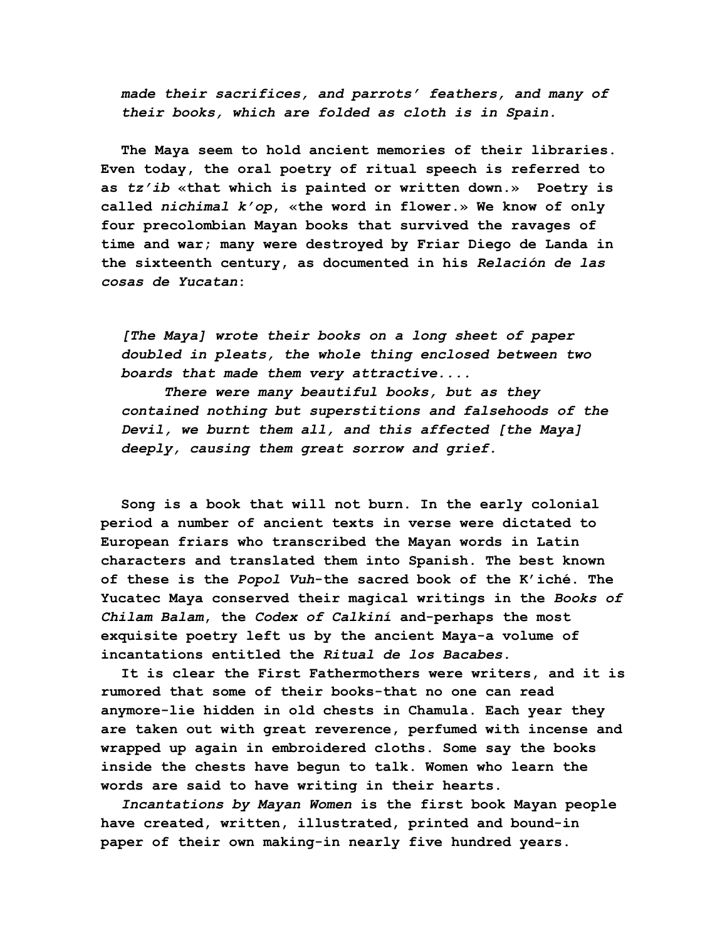*made their sacrifices, and parrots' feathers, and many of their books, which are folded as cloth is in Spain.*

**The Maya seem to hold ancient memories of their libraries. Even today, the oral poetry of ritual speech is referred to as** *tz'ib* **«that which is painted or written down.» Poetry is called** *nichimal k'op***, «the word in flower.» We know of only four precolombian Mayan books that survived the ravages of time and war; many were destroyed by Friar Diego de Landa in the sixteenth century, as documented in his** *Relación de las cosas de Yucatan***:**

*[The Maya] wrote their books on a long sheet of paper doubled in pleats, the whole thing enclosed between two boards that made them very attractive....*

 *There were many beautiful books, but as they contained nothing but superstitions and falsehoods of the Devil, we burnt them all, and this affected [the Maya] deeply, causing them great sorrow and grief.*

**Song is a book that will not burn. In the early colonial period a number of ancient texts in verse were dictated to European friars who transcribed the Mayan words in Latin characters and translated them into Spanish. The best known of these is the** *Popol Vuh***-the sacred book of the K'iché. The Yucatec Maya conserved their magical writings in the** *Books of Chilam Balam***, the** *Codex of Calkiní* **and-perhaps the most exquisite poetry left us by the ancient Maya-a volume of incantations entitled the** *Ritual de los Bacabes.*

**It is clear the First Fathermothers were writers, and it is rumored that some of their books-that no one can read anymore-lie hidden in old chests in Chamula. Each year they are taken out with great reverence, perfumed with incense and wrapped up again in embroidered cloths. Some say the books inside the chests have begun to talk. Women who learn the words are said to have writing in their hearts.**

*Incantations by Mayan Women* **is the first book Mayan people have created, written, illustrated, printed and bound-in paper of their own making-in nearly five hundred years.**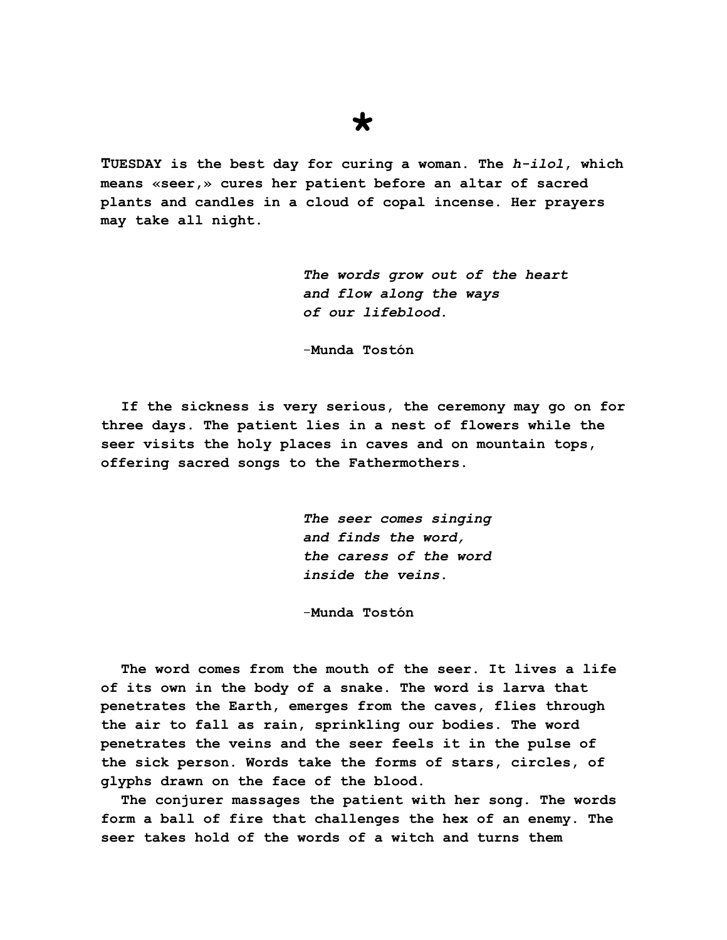## **TUESDAY is the best day for curing a woman. The** *h-ilol***, which means «seer,» cures her patient before an altar of sacred plants and candles in a cloud of copal incense. Her prayers may take all night.**

**\***

*The words grow out of the heart and flow along the ways of our lifeblood.*

-**Munda Tostón**

**If the sickness is very serious, the ceremony may go on for three days. The patient lies in a nest of flowers while the seer visits the holy places in caves and on mountain tops, offering sacred songs to the Fathermothers.**

> *The seer comes singing and finds the word, the caress of the word inside the veins.*

-**Munda Tostón**

**The word comes from the mouth of the seer. It lives a life of its own in the body of a snake. The word is larva that penetrates the Earth, emerges from the caves, flies through the air to fall as rain, sprinkling our bodies. The word penetrates the veins and the seer feels it in the pulse of the sick person. Words take the forms of stars, circles, of glyphs drawn on the face of the blood.**

**The conjurer massages the patient with her song. The words form a ball of fire that challenges the hex of an enemy. The seer takes hold of the words of a witch and turns them**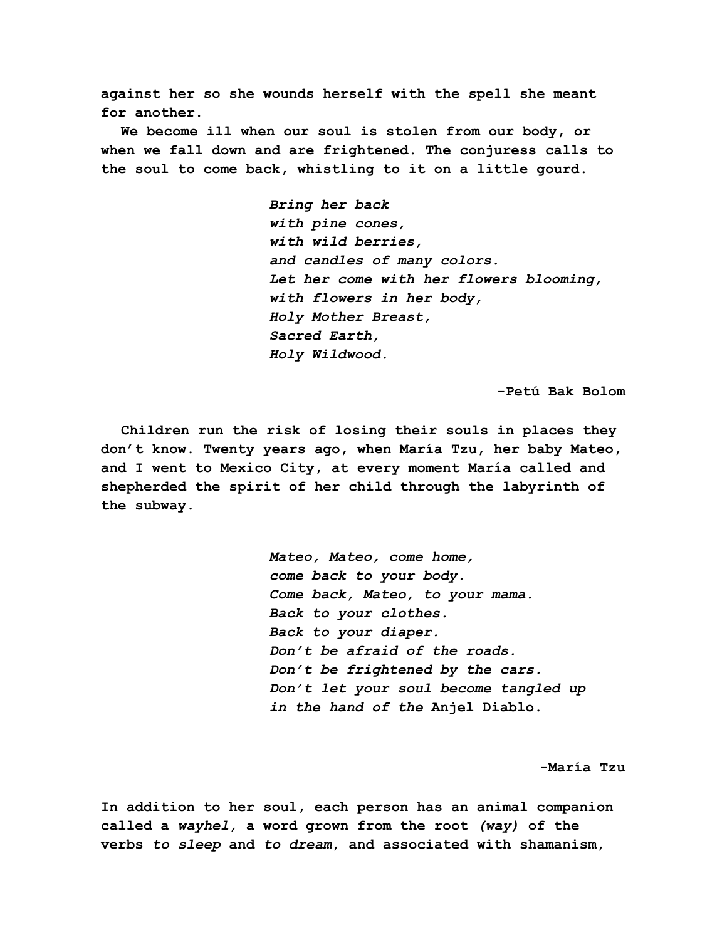**against her so she wounds herself with the spell she meant for another.**

**We become ill when our soul is stolen from our body, or when we fall down and are frightened. The conjuress calls to the soul to come back, whistling to it on a little gourd.**

> *Bring her back with pine cones, with wild berries, and candles of many colors. Let her come with her flowers blooming, with flowers in her body, Holy Mother Breast, Sacred Earth, Holy Wildwood.*

> > -**Petú Bak Bolom**

**Children run the risk of losing their souls in places they don't know. Twenty years ago, when María Tzu, her baby Mateo, and I went to Mexico City, at every moment María called and shepherded the spirit of her child through the labyrinth of the subway.**

> *Mateo, Mateo, come home, come back to your body. Come back, Mateo, to your mama. Back to your clothes. Back to your diaper. Don't be afraid of the roads. Don't be frightened by the cars. Don't let your soul become tangled up in the hand of the* **Anjel Diablo.**

> > -**María Tzu**

**In addition to her soul, each person has an animal companion called a** *wayhel,* **a word grown from the root** *(way)* **of the verbs** *to sleep* **and** *to dream***, and associated with shamanism,**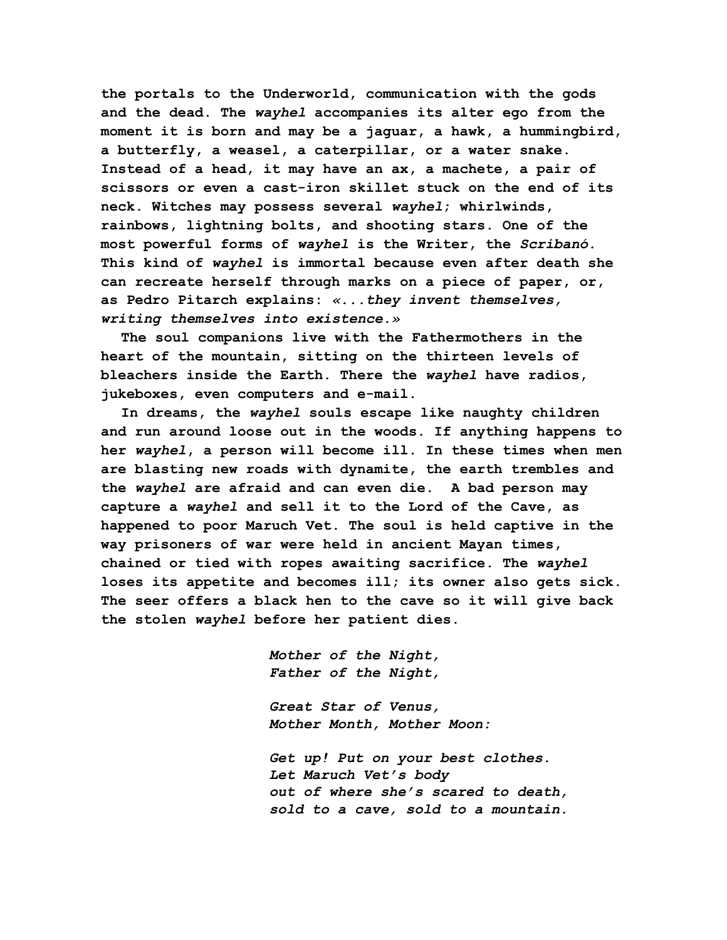**the portals to the Underworld, communication with the gods and the dead. The** *wayhel* **accompanies its alter ego from the moment it is born and may be a jaguar, a hawk, a hummingbird, a butterfly, a weasel, a caterpillar, or a water snake. Instead of a head, it may have an ax, a machete, a pair of scissors or even a cast-iron skillet stuck on the end of its neck. Witches may possess several** *wayhel***; whirlwinds, rainbows, lightning bolts, and shooting stars. One of the most powerful forms of** *wayhel* **is the Writer, the** *Scribanó***. This kind of** *wayhel* **is immortal because even after death she can recreate herself through marks on a piece of paper, or, as Pedro Pitarch explains:** *«...they invent themselves, writing themselves into existence.»*

**The soul companions live with the Fathermothers in the heart of the mountain, sitting on the thirteen levels of bleachers inside the Earth. There the** *wayhel* **have radios, jukeboxes, even computers and e-mail.**

**In dreams, the** *wayhel* **souls escape like naughty children and run around loose out in the woods. If anything happens to her** *wayhel***, a person will become ill. In these times when men are blasting new roads with dynamite, the earth trembles and the** *wayhel* **are afraid and can even die. A bad person may capture a** *wayhel* **and sell it to the Lord of the Cave, as happened to poor Maruch Vet. The soul is held captive in the way prisoners of war were held in ancient Mayan times, chained or tied with ropes awaiting sacrifice. The** *wayhel* **loses its appetite and becomes ill; its owner also gets sick. The seer offers a black hen to the cave so it will give back the stolen** *wayhel* **before her patient dies.**

> *Mother of the Night, Father of the Night,*

*Great Star of Venus, Mother Month, Mother Moon:*

*Get up! Put on your best clothes. Let Maruch Vet's body out of where she's scared to death, sold to a cave, sold to a mountain.*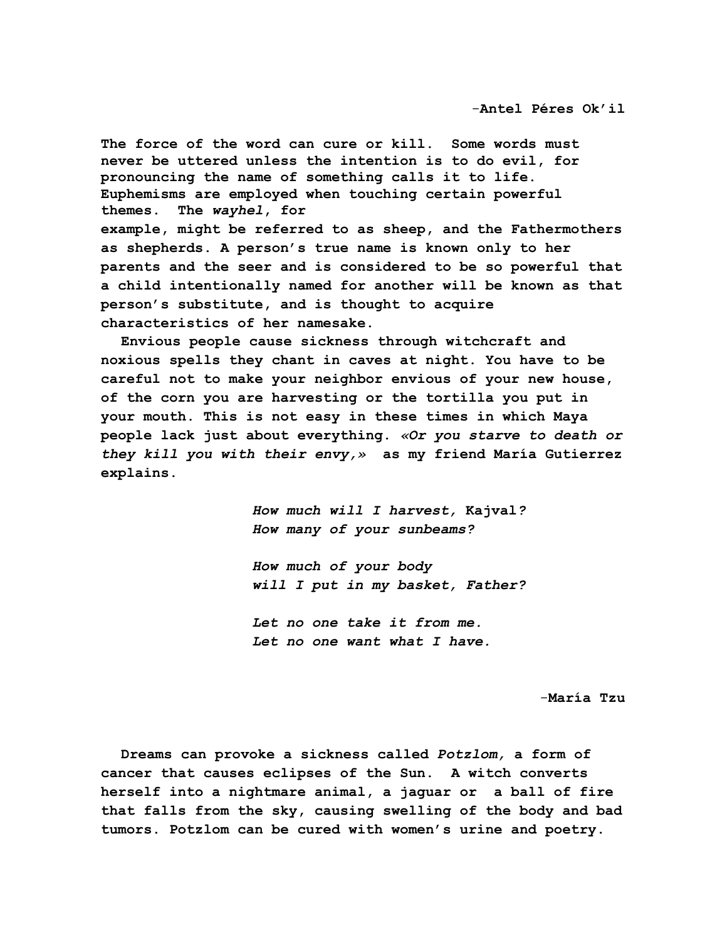**The force of the word can cure or kill. Some words must never be uttered unless the intention is to do evil, for pronouncing the name of something calls it to life. Euphemisms are employed when touching certain powerful themes. The** *wayhel***, for**

**example, might be referred to as sheep, and the Fathermothers as shepherds. A person's true name is known only to her parents and the seer and is considered to be so powerful that a child intentionally named for another will be known as that person's substitute, and is thought to acquire characteristics of her namesake.**

**Envious people cause sickness through witchcraft and noxious spells they chant in caves at night. You have to be careful not to make your neighbor envious of your new house, of the corn you are harvesting or the tortilla you put in your mouth. This is not easy in these times in which Maya people lack just about everything.** *«Or you starve to death or they kill you with their envy,»* **as my friend María Gutierrez explains.**

> *How much will I harvest,* **Kajval***? How many of your sunbeams?*

> *How much of your body will I put in my basket, Father?*

*Let no one take it from me. Let no one want what I have.*

-**María Tzu**

**Dreams can provoke a sickness called** *Potzlom,* **a form of cancer that causes eclipses of the Sun. A witch converts herself into a nightmare animal, a jaguar or a ball of fire that falls from the sky, causing swelling of the body and bad tumors. Potzlom can be cured with women's urine and poetry.**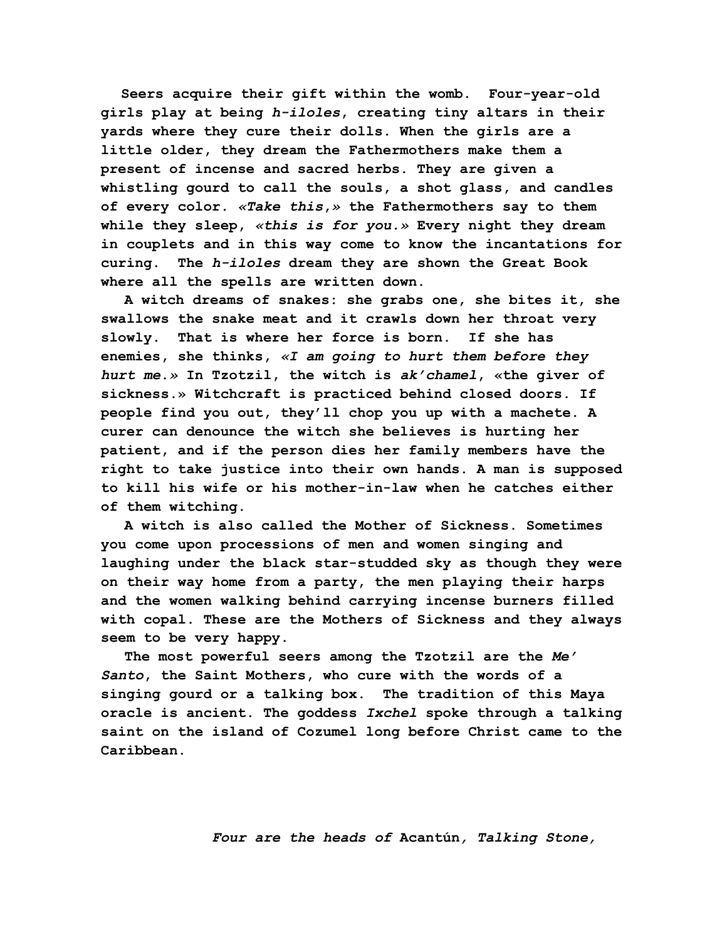**Seers acquire their gift within the womb. Four-year-old girls play at being** *h-iloles***, creating tiny altars in their yards where they cure their dolls. When the girls are a little older, they dream the Fathermothers make them a present of incense and sacred herbs. They are given a whistling gourd to call the souls, a shot glass, and candles of every color.** *«Take this***,***»* **the Fathermothers say to them while they sleep,** *«this is for you.»* **Every night they dream in couplets and in this way come to know the incantations for curing. The** *h-iloles* **dream they are shown the Great Book where all the spells are written down.**

**A witch dreams of snakes: she grabs one, she bites it, she swallows the snake meat and it crawls down her throat very slowly. That is where her force is born. If she has enemies, she thinks,** *«I am going to hurt them before they hurt me***.***»* **In Tzotzil, the witch is** *ak'chamel***, «the giver of sickness.» Witchcraft is practiced behind closed doors. If people find you out, they'll chop you up with a machete. A curer can denounce the witch she believes is hurting her patient, and if the person dies her family members have the right to take justice into their own hands. A man is supposed to kill his wife or his mother-in-law when he catches either of them witching.**

**A witch is also called the Mother of Sickness. Sometimes you come upon processions of men and women singing and laughing under the black star-studded sky as though they were on their way home from a party, the men playing their harps and the women walking behind carrying incense burners filled with copal. These are the Mothers of Sickness and they always seem to be very happy.**

**The most powerful seers among the Tzotzil are the** *Me' Santo***, the Saint Mothers, who cure with the words of a singing gourd or a talking box. The tradition of this Maya oracle is ancient. The goddess** *Ixchel* **spoke through a talking saint on the island of Cozumel long before Christ came to the Caribbean.**

*Four are the heads of* **Acantún***, Talking Stone,*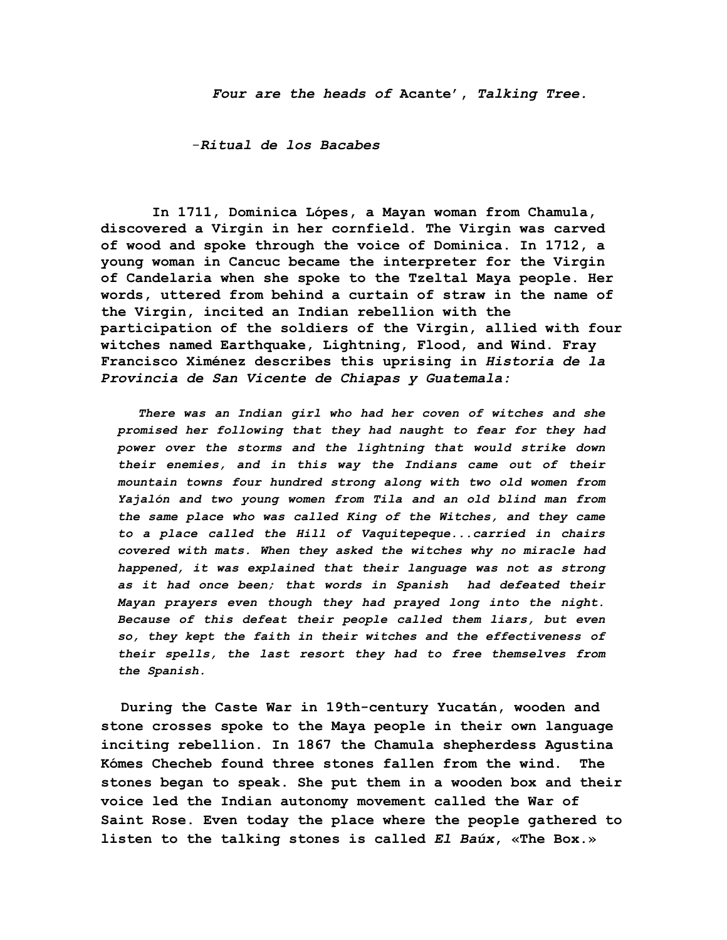-*Ritual de los Bacabes*

 **In 1711, Dominica Lópes, a Mayan woman from Chamula, discovered a Virgin in her cornfield. The Virgin was carved of wood and spoke through the voice of Dominica. In 1712, a young woman in Cancuc became the interpreter for the Virgin of Candelaria when she spoke to the Tzeltal Maya people. Her words, uttered from behind a curtain of straw in the name of the Virgin, incited an Indian rebellion with the participation of the soldiers of the Virgin, allied with four witches named Earthquake, Lightning, Flood, and Wind. Fray Francisco Ximénez describes this uprising in** *Historia de la Provincia de San Vicente de Chiapas y Guatemala:*

*There was an Indian girl who had her coven of witches and she promised her following that they had naught to fear for they had power over the storms and the lightning that would strike down their enemies, and in this way the Indians came out of their mountain towns four hundred strong along with two old women from Yajalón and two young women from Tila and an old blind man from the same place who was called King of the Witches, and they came to a place called the Hill of Vaquitepeque...carried in chairs covered with mats. When they asked the witches why no miracle had happened, it was explained that their language was not as strong as it had once been; that words in Spanish had defeated their Mayan prayers even though they had prayed long into the night. Because of this defeat their people called them liars, but even so, they kept the faith in their witches and the effectiveness of their spells, the last resort they had to free themselves from the Spanish.*

**During the Caste War in 19th-century Yucatán, wooden and stone crosses spoke to the Maya people in their own language inciting rebellion. In 1867 the Chamula shepherdess Agustina Kómes Checheb found three stones fallen from the wind. The stones began to speak. She put them in a wooden box and their voice led the Indian autonomy movement called the War of Saint Rose. Even today the place where the people gathered to listen to the talking stones is called** *El Baúx***, «The Box.»**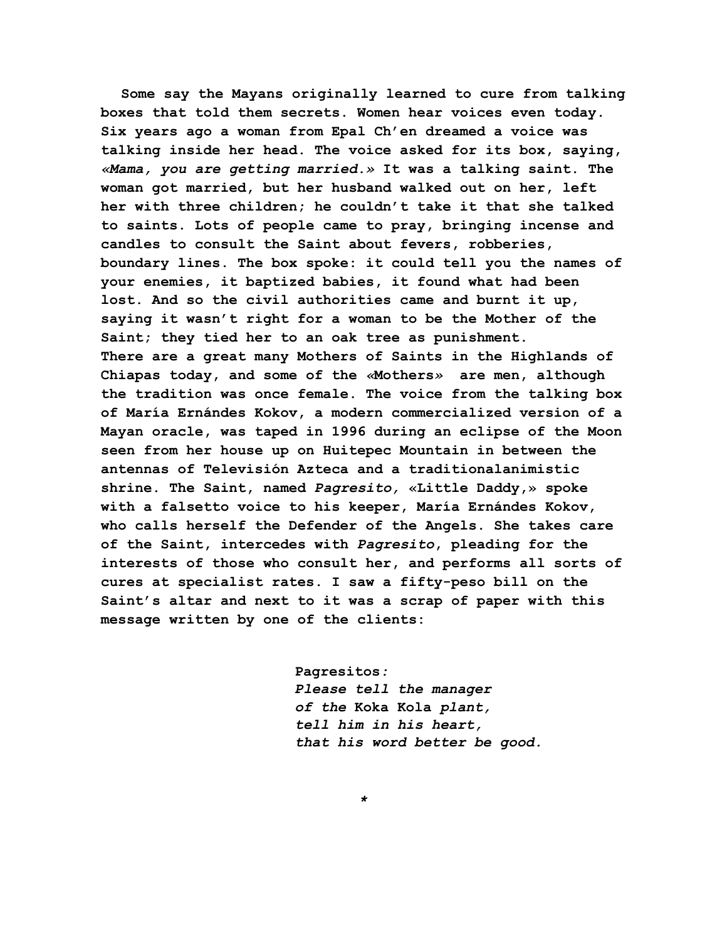**Some say the Mayans originally learned to cure from talking boxes that told them secrets. Women hear voices even today. Six years ago a woman from Epal Ch'en dreamed a voice was talking inside her head. The voice asked for its box, saying,** *«Mama, you are getting married.»* **It was a talking saint. The woman got married, but her husband walked out on her, left her with three children; he couldn't take it that she talked to saints. Lots of people came to pray, bringing incense and candles to consult the Saint about fevers, robberies, boundary lines. The box spoke: it could tell you the names of your enemies, it baptized babies, it found what had been lost. And so the civil authorities came and burnt it up, saying it wasn't right for a woman to be the Mother of the Saint; they tied her to an oak tree as punishment. There are a great many Mothers of Saints in the Highlands of Chiapas today, and some of the** *«***Mothers***»* **are men, although the tradition was once female. The voice from the talking box of María Ernándes Kokov, a modern commercialized version of a Mayan oracle, was taped in 1996 during an eclipse of the Moon seen from her house up on Huitepec Mountain in between the antennas of Televisión Azteca and a traditionalanimistic shrine. The Saint, named** *Pagresito,* **«Little Daddy,» spoke with a falsetto voice to his keeper, María Ernándes Kokov, who calls herself the Defender of the Angels. She takes care of the Saint, intercedes with** *Pagresito***, pleading for the interests of those who consult her, and performs all sorts of cures at specialist rates. I saw a fifty-peso bill on the Saint's altar and next to it was a scrap of paper with this message written by one of the clients:**

> **Pagresitos***: Please tell the manager of the* **Koka Kola** *plant, tell him in his heart, that his word better be good.*

> > *\**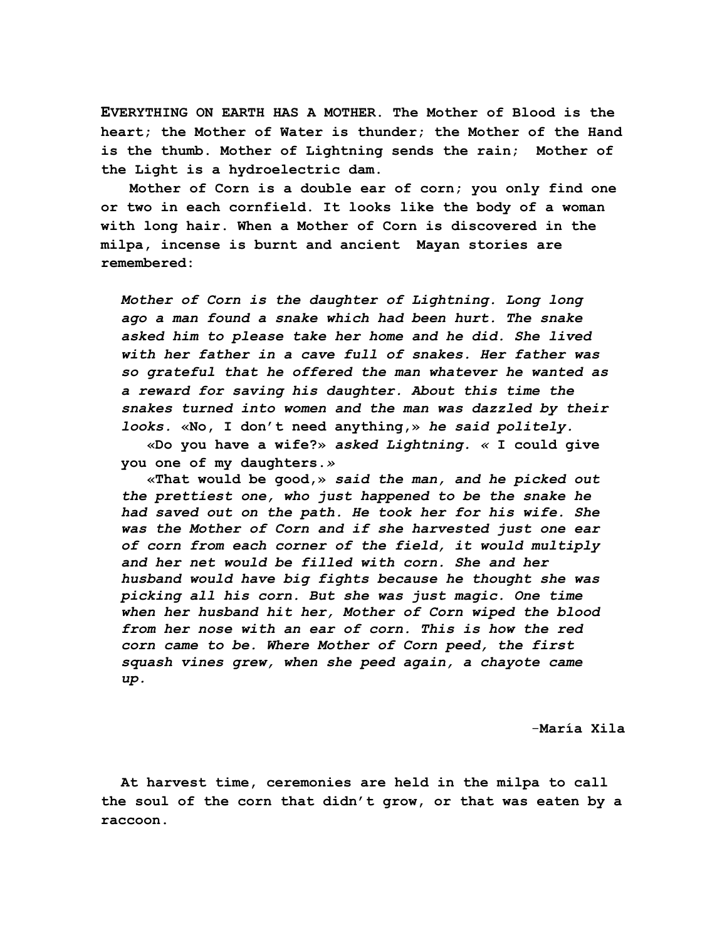**EVERYTHING ON EARTH HAS A MOTHER. The Mother of Blood is the heart; the Mother of Water is thunder; the Mother of the Hand is the thumb. Mother of Lightning sends the rain; Mother of the Light is a hydroelectric dam.**

 **Mother of Corn is a double ear of corn; you only find one or two in each cornfield. It looks like the body of a woman with long hair. When a Mother of Corn is discovered in the milpa, incense is burnt and ancient Mayan stories are remembered:**

*Mother of Corn is the daughter of Lightning. Long long ago a man found a snake which had been hurt. The snake asked him to please take her home and he did. She lived with her father in a cave full of snakes. Her father was so grateful that he offered the man whatever he wanted as a reward for saving his daughter. About this time the snakes turned into women and the man was dazzled by their looks.* **«No, I don't need anything,»** *he said politely.*

 **«Do you have a wife?»** *asked Lightning. «* **I could give you one of my daughters.***»*

 **«That would be good,»** *said the man, and he picked out the prettiest one, who just happened to be the snake he had saved out on the path. He took her for his wife. She was the Mother of Corn and if she harvested just one ear of corn from each corner of the field, it would multiply and her net would be filled with corn. She and her husband would have big fights because he thought she was picking all his corn. But she was just magic. One time when her husband hit her, Mother of Corn wiped the blood from her nose with an ear of corn. This is how the red corn came to be. Where Mother of Corn peed, the first squash vines grew, when she peed again, a chayote came up.*

-**María Xila**

**At harvest time, ceremonies are held in the milpa to call the soul of the corn that didn't grow, or that was eaten by a raccoon.**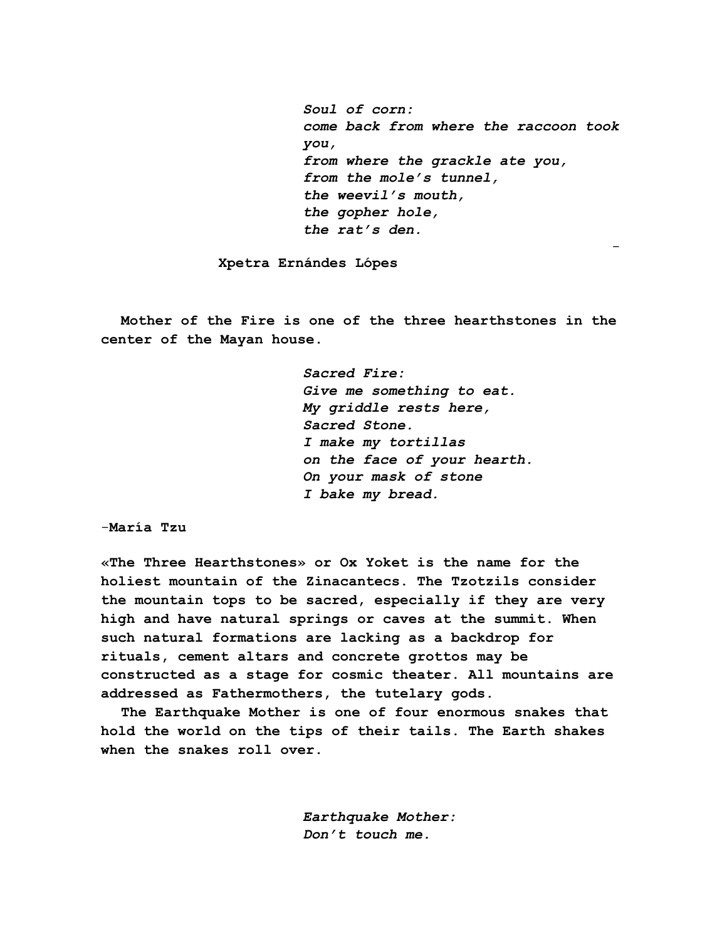*Soul of corn: come back from where the raccoon took you, from where the grackle ate you, from the mole's tunnel, the weevil's mouth, the gopher hole, the rat's den.*

**Xpetra Ernándes Lópes**

**Mother of the Fire is one of the three hearthstones in the center of the Mayan house.**

> *Sacred Fire: Give me something to eat. My griddle rests here, Sacred Stone. I make my tortillas on the face of your hearth. On your mask of stone I bake my bread.*

-

-**María Tzu**

**«The Three Hearthstones» or Ox Yoket is the name for the holiest mountain of the Zinacantecs. The Tzotzils consider the mountain tops to be sacred, especially if they are very high and have natural springs or caves at the summit. When such natural formations are lacking as a backdrop for rituals, cement altars and concrete grottos may be constructed as a stage for cosmic theater. All mountains are addressed as Fathermothers, the tutelary gods.**

**The Earthquake Mother is one of four enormous snakes that hold the world on the tips of their tails. The Earth shakes when the snakes roll over.**

> *Earthquake Mother: Don't touch me.*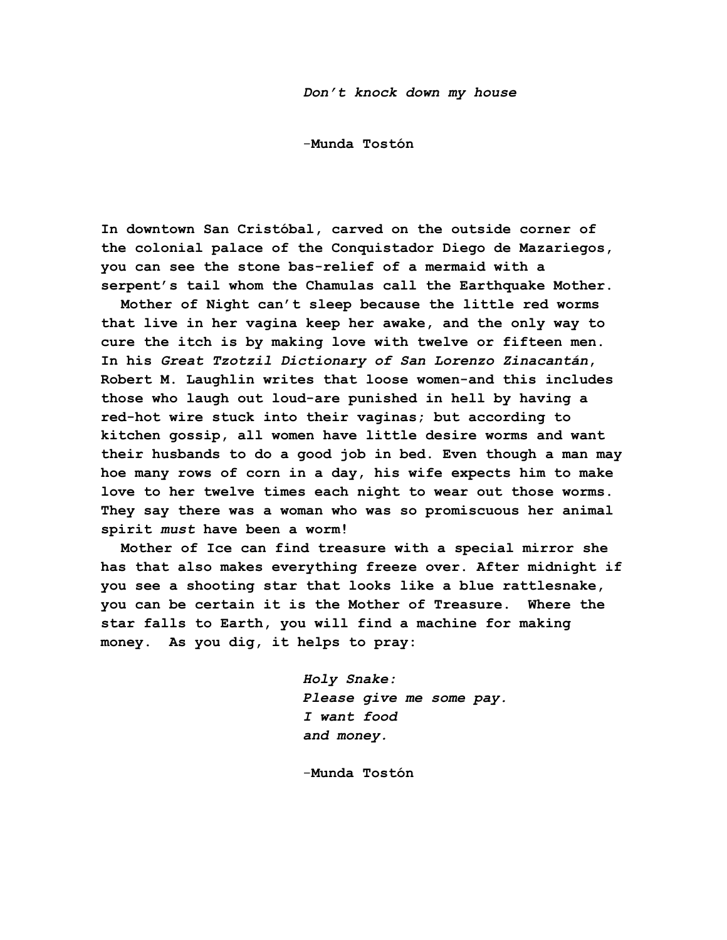-**Munda Tostón**

**In downtown San Cristóbal, carved on the outside corner of the colonial palace of the Conquistador Diego de Mazariegos, you can see the stone bas-relief of a mermaid with a serpent's tail whom the Chamulas call the Earthquake Mother.**

**Mother of Night can't sleep because the little red worms that live in her vagina keep her awake, and the only way to cure the itch is by making love with twelve or fifteen men. In his** *Great Tzotzil Dictionary of San Lorenzo Zinacantán***, Robert M. Laughlin writes that loose women-and this includes those who laugh out loud-are punished in hell by having a red-hot wire stuck into their vaginas; but according to kitchen gossip, all women have little desire worms and want their husbands to do a good job in bed. Even though a man may hoe many rows of corn in a day, his wife expects him to make love to her twelve times each night to wear out those worms. They say there was a woman who was so promiscuous her animal spirit** *must* **have been a worm!**

**Mother of Ice can find treasure with a special mirror she has that also makes everything freeze over. After midnight if you see a shooting star that looks like a blue rattlesnake, you can be certain it is the Mother of Treasure. Where the star falls to Earth, you will find a machine for making money. As you dig, it helps to pray:**

> *Holy Snake: Please give me some pay. I want food and money.*

-**Munda Tostón**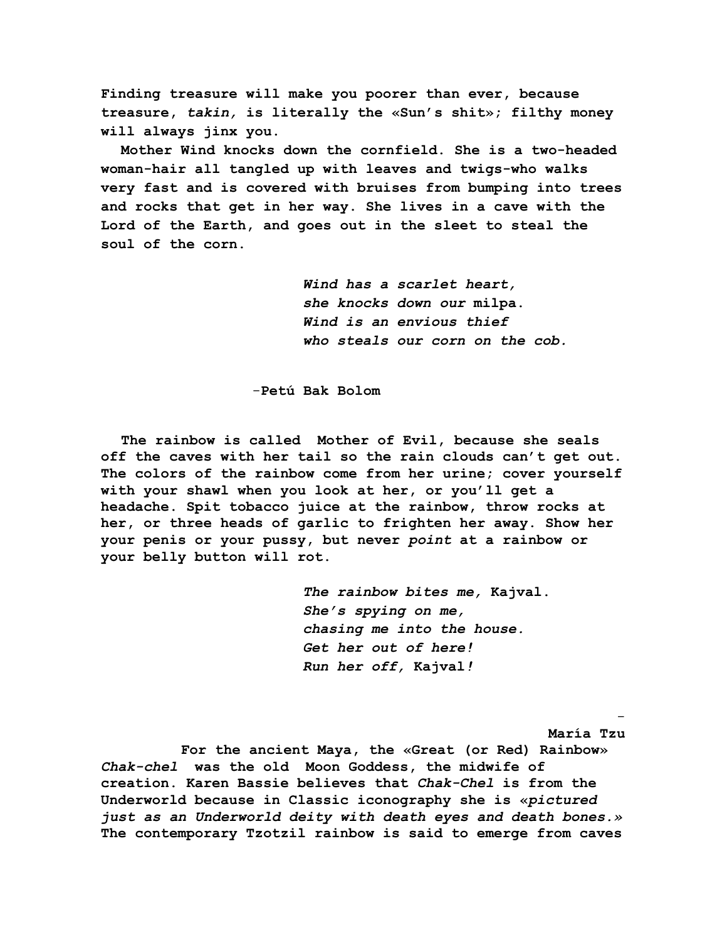**Finding treasure will make you poorer than ever, because treasure,** *takin,* **is literally the «Sun's shit»; filthy money will always jinx you.**

**Mother Wind knocks down the cornfield. She is a two-headed woman-hair all tangled up with leaves and twigs-who walks very fast and is covered with bruises from bumping into trees and rocks that get in her way. She lives in a cave with the Lord of the Earth, and goes out in the sleet to steal the soul of the corn.**

> *Wind has a scarlet heart, she knocks down our* **milpa.** *Wind is an envious thief who steals our corn on the cob.*

-**Petú Bak Bolom**

**The rainbow is called Mother of Evil, because she seals off the caves with her tail so the rain clouds can't get out. The colors of the rainbow come from her urine; cover yourself with your shawl when you look at her, or you'll get a headache. Spit tobacco juice at the rainbow, throw rocks at her, or three heads of garlic to frighten her away. Show her your penis or your pussy, but never** *point* **at a rainbow or your belly button will rot.**

> *The rainbow bites me,* **Kajval.** *She's spying on me, chasing me into the house. Get her out of here! Run her off,* **Kajval***!*

> > **María Tzu**

**For the ancient Maya, the «Great (or Red) Rainbow»** *Chak-chel* **was the old Moon Goddess, the midwife of creation. Karen Bassie believes that** *Chak-Chel* **is from the Underworld because in Classic iconography she is «***pictured just as an Underworld deity with death eyes and death bones.»* **The contemporary Tzotzil rainbow is said to emerge from caves**

and the contract of the contract of the contract of the contract of the contract of the contract of the contract of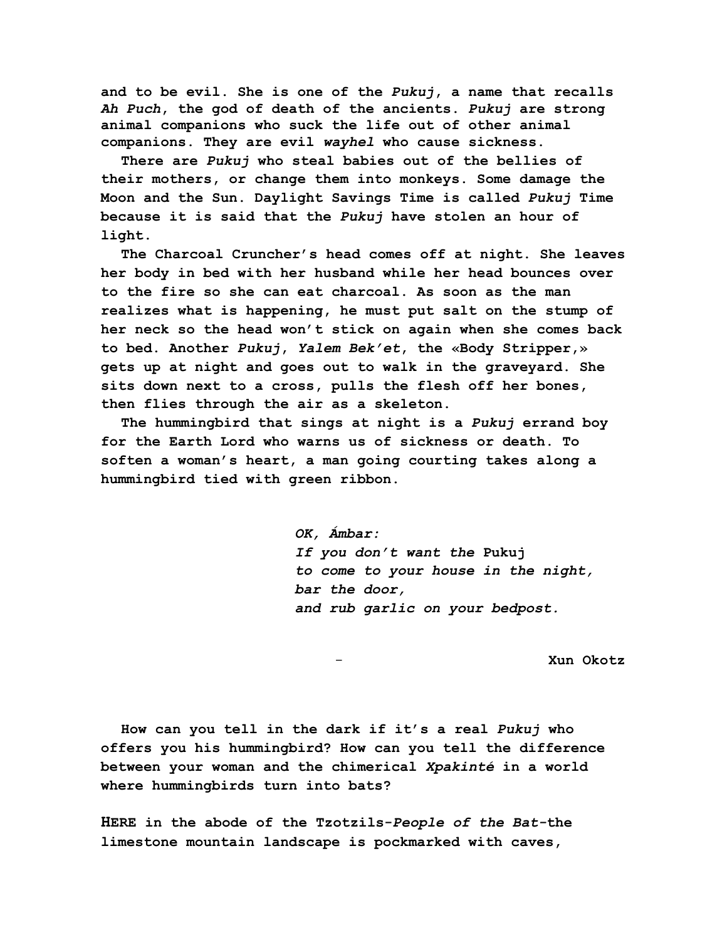**and to be evil. She is one of the** *Pukuj***, a name that recalls** *Ah Puch***, the god of death of the ancients.** *Pukuj* **are strong animal companions who suck the life out of other animal companions. They are evil** *wayhel* **who cause sickness.**

**There are** *Pukuj* **who steal babies out of the bellies of their mothers, or change them into monkeys. Some damage the Moon and the Sun. Daylight Savings Time is called** *Pukuj* **Time because it is said that the** *Pukuj* **have stolen an hour of light.**

**The Charcoal Cruncher's head comes off at night. She leaves her body in bed with her husband while her head bounces over to the fire so she can eat charcoal. As soon as the man realizes what is happening, he must put salt on the stump of her neck so the head won't stick on again when she comes back to bed. Another** *Pukuj***,** *Yalem Bek'et***, the «Body Stripper,» gets up at night and goes out to walk in the graveyard. She sits down next to a cross, pulls the flesh off her bones, then flies through the air as a skeleton.**

**The hummingbird that sings at night is a** *Pukuj* **errand boy for the Earth Lord who warns us of sickness or death. To soften a woman's heart, a man going courting takes along a hummingbird tied with green ribbon.**

> *OK, Ámbar: If you don't want the* **Pukuj** *to come to your house in the night, bar the door, and rub garlic on your bedpost.*

> > - **Xun Okotz**

**How can you tell in the dark if it's a real** *Pukuj* **who offers you his hummingbird? How can you tell the difference between your woman and the chimerical** *Xpakinté* **in a world where hummingbirds turn into bats?**

**HERE in the abode of the Tzotzils-***People of the Bat-***the limestone mountain landscape is pockmarked with caves,**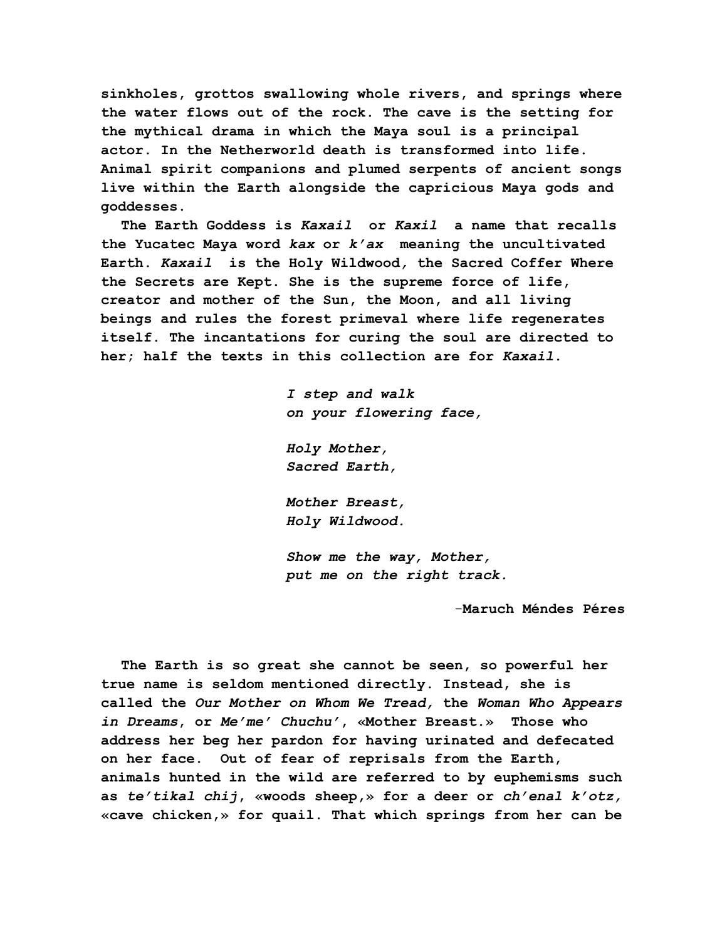**sinkholes, grottos swallowing whole rivers, and springs where the water flows out of the rock. The cave is the setting for the mythical drama in which the Maya soul is a principal actor. In the Netherworld death is transformed into life. Animal spirit companions and plumed serpents of ancient songs live within the Earth alongside the capricious Maya gods and goddesses.**

**The Earth Goddess is** *Kaxail* **or** *Kaxil* **a name that recalls the Yucatec Maya word** *kax* **or** *k'ax* **meaning the uncultivated Earth.** *Kaxail* **is the Holy Wildwood***,* **the Sacred Coffer Where the Secrets are Kept. She is the supreme force of life, creator and mother of the Sun, the Moon, and all living beings and rules the forest primeval where life regenerates itself. The incantations for curing the soul are directed to her; half the texts in this collection are for** *Kaxail***.**

> *I step and walk on your flowering face,*

*Holy Mother, Sacred Earth,*

*Mother Breast, Holy Wildwood.*

*Show me the way, Mother, put me on the right track.*

-**Maruch Méndes Péres**

**The Earth is so great she cannot be seen, so powerful her true name is seldom mentioned directly. Instead, she is called the** *Our Mother on Whom We Tread,* **the** *Woman Who Appears in Dreams***, or** *Me'me' Chuchu'***, «Mother Breast.» Those who address her beg her pardon for having urinated and defecated on her face. Out of fear of reprisals from the Earth, animals hunted in the wild are referred to by euphemisms such as** *te'tikal chij***, «woods sheep,» for a deer or** *ch'enal k'otz,* **«cave chicken,» for quail. That which springs from her can be**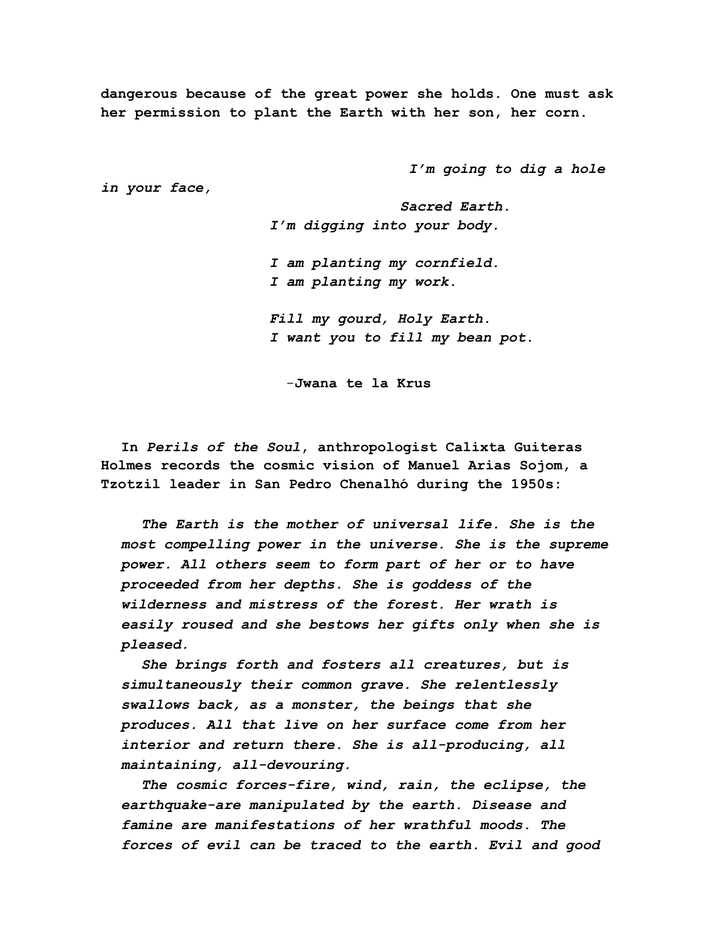**dangerous because of the great power she holds. One must ask her permission to plant the Earth with her son, her corn.**

 *I'm going to dig a hole*

*in your face,*

 *Sacred Earth. I'm digging into your body.*

*I am planting my cornfield. I am planting my work.*

*Fill my gourd, Holy Earth. I want you to fill my bean pot.*

-**Jwana te la Krus**

**In** *Perils of the Soul***, anthropologist Calixta Guiteras Holmes records the cosmic vision of Manuel Arias Sojom, a Tzotzil leader in San Pedro Chenalhó during the 1950s:**

*The Earth is the mother of universal life. She is the most compelling power in the universe. She is the supreme power. All others seem to form part of her or to have proceeded from her depths. She is goddess of the wilderness and mistress of the forest. Her wrath is easily roused and she bestows her gifts only when she is pleased.*

*She brings forth and fosters all creatures, but is simultaneously their common grave. She relentlessly swallows back, as a monster, the beings that she produces. All that live on her surface come from her interior and return there. She is all-producing, all maintaining, all-devouring.*

*The cosmic forces-fire, wind, rain, the eclipse, the earthquake-are manipulated by the earth. Disease and famine are manifestations of her wrathful moods. The forces of evil can be traced to the earth. Evil and good*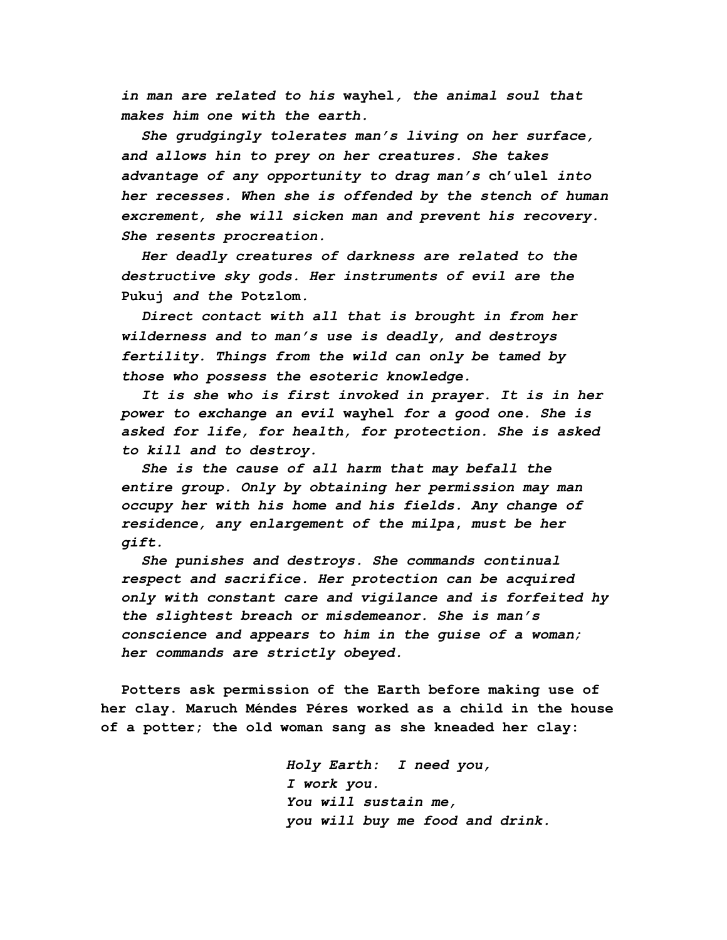*in man are related to his* **wayhel***, the animal soul that makes him one with the earth.*

*She grudgingly tolerates man's living on her surface, and allows hin to prey on her creatures. She takes advantage of any opportunity to drag man's* **ch'ulel** *into her recesses. When she is offended by the stench of human excrement, she will sicken man and prevent his recovery. She resents procreation.*

*Her deadly creatures of darkness are related to the destructive sky gods. Her instruments of evil are the* **Pukuj** *and the* **Potzlom***.*

*Direct contact with all that is brought in from her wilderness and to man's use is deadly, and destroys fertility. Things from the wild can only be tamed by those who possess the esoteric knowledge.*

*It is she who is first invoked in prayer. It is in her power to exchange an evil* **wayhel** *for a good one. She is asked for life, for health, for protection. She is asked to kill and to destroy.*

*She is the cause of all harm that may befall the entire group. Only by obtaining her permission may man occupy her with his home and his fields. Any change of residence, any enlargement of the milpa***,** *must be her gift.*

*She punishes and destroys. She commands continual respect and sacrifice. Her protection can be acquired only with constant care and vigilance and is forfeited hy the slightest breach or misdemeanor. She is man's conscience and appears to him in the guise of a woman; her commands are strictly obeyed.*

**Potters ask permission of the Earth before making use of her clay. Maruch Méndes Péres worked as a child in the house of a potter; the old woman sang as she kneaded her clay:**

> *Holy Earth: I need you, I work you. You will sustain me, you will buy me food and drink.*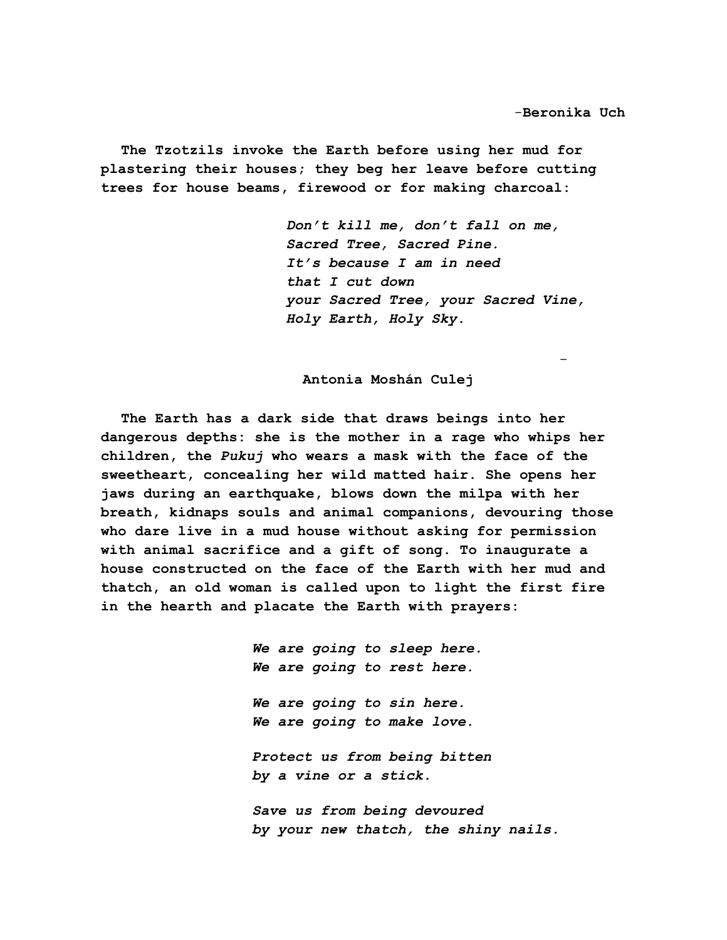**The Tzotzils invoke the Earth before using her mud for plastering their houses; they beg her leave before cutting trees for house beams, firewood or for making charcoal:**

> *Don't kill me, don't fall on me, Sacred Tree, Sacred Pine. It's because I am in need that I cut down your Sacred Tree, your Sacred Vine, Holy Earth, Holy Sky.*

-

**Antonia Moshán Culej**

**The Earth has a dark side that draws beings into her dangerous depths: she is the mother in a rage who whips her children, the** *Pukuj* **who wears a mask with the face of the sweetheart, concealing her wild matted hair. She opens her jaws during an earthquake, blows down the milpa with her breath, kidnaps souls and animal companions, devouring those who dare live in a mud house without asking for permission with animal sacrifice and a gift of song. To inaugurate a house constructed on the face of the Earth with her mud and thatch, an old woman is called upon to light the first fire in the hearth and placate the Earth with prayers:**

> *We are going to sleep here. We are going to rest here. We are going to sin here. We are going to make love. Protect us from being bitten by a vine or a stick. Save us from being devoured by your new thatch, the shiny nails.*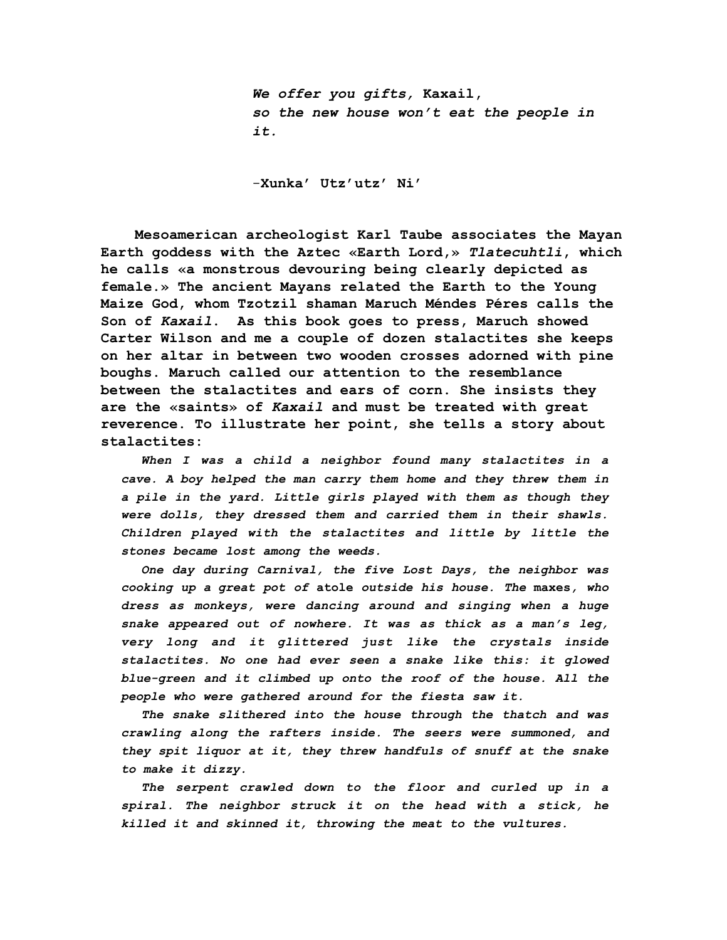*We offer you gifts,* **Kaxail,** *so the new house won't eat the people in it.*

-**Xunka' Utz'utz' Ni'**

 **Mesoamerican archeologist Karl Taube associates the Mayan Earth goddess with the Aztec «Earth Lord,»** *Tlatecuhtli***, which he calls «a monstrous devouring being clearly depicted as female.» The ancient Mayans related the Earth to the Young Maize God, whom Tzotzil shaman Maruch Méndes Péres calls the Son of** *Kaxail***. As this book goes to press, Maruch showed Carter Wilson and me a couple of dozen stalactites she keeps on her altar in between two wooden crosses adorned with pine boughs. Maruch called our attention to the resemblance between the stalactites and ears of corn. She insists they are the «saints» of** *Kaxail* **and must be treated with great reverence. To illustrate her point, she tells a story about stalactites:**

*When I was a child a neighbor found many stalactites in a cave. A boy helped the man carry them home and they threw them in a pile in the yard. Little girls played with them as though they were dolls, they dressed them and carried them in their shawls. Children played with the stalactites and little by little the stones became lost among the weeds.*

*One day during Carnival, the five Lost Days, the neighbor was cooking up a great pot of* **atole** *outside his house. The* **maxes***, who dress as monkeys, were dancing around and singing when a huge snake appeared out of nowhere. It was as thick as a man's leg, very long and it glittered just like the crystals inside stalactites. No one had ever seen a snake like this: it glowed blue-green and it climbed up onto the roof of the house. All the people who were gathered around for the fiesta saw it.*

*The snake slithered into the house through the thatch and was crawling along the rafters inside. The seers were summoned, and they spit liquor at it, they threw handfuls of snuff at the snake to make it dizzy.*

*The serpent crawled down to the floor and curled up in a spiral. The neighbor struck it on the head with a stick, he killed it and skinned it, throwing the meat to the vultures.*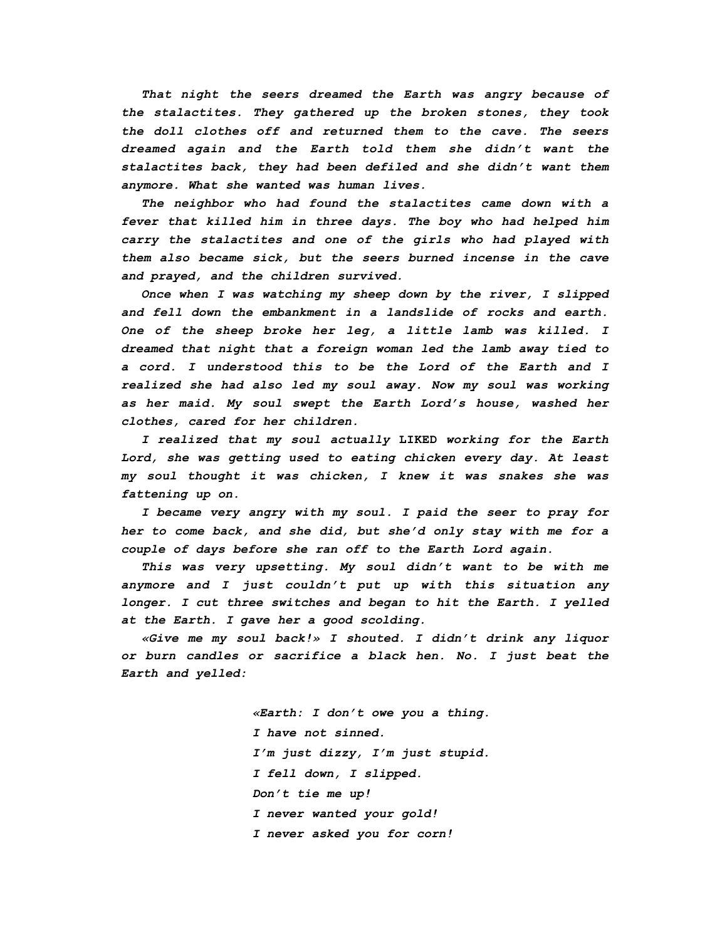*That night the seers dreamed the Earth was angry because of the stalactites. They gathered up the broken stones, they took the doll clothes off and returned them to the cave. The seers dreamed again and the Earth told them she didn't want the stalactites back, they had been defiled and she didn't want them anymore. What she wanted was human lives.*

*The neighbor who had found the stalactites came down with a fever that killed him in three days. The boy who had helped him carry the stalactites and one of the girls who had played with them also became sick, but the seers burned incense in the cave and prayed, and the children survived.*

*Once when I was watching my sheep down by the river, I slipped and fell down the embankment in a landslide of rocks and earth. One of the sheep broke her leg, a little lamb was killed. I dreamed that night that a foreign woman led the lamb away tied to a cord. I understood this to be the Lord of the Earth and I realized she had also led my soul away. Now my soul was working as her maid. My soul swept the Earth Lord's house, washed her clothes, cared for her children.*

*I realized that my soul actually* **LIKED** *working for the Earth Lord, she was getting used to eating chicken every day. At least my soul thought it was chicken, I knew it was snakes she was fattening up on.*

*I became very angry with my soul. I paid the seer to pray for her to come back, and she did, but she'd only stay with me for a couple of days before she ran off to the Earth Lord again.*

*This was very upsetting. My soul didn't want to be with me anymore and I just couldn't put up with this situation any longer. I cut three switches and began to hit the Earth. I yelled at the Earth. I gave her a good scolding.*

*«Give me my soul back!» I shouted. I didn't drink any liquor or burn candles or sacrifice a black hen. No. I just beat the Earth and yelled:*

> *«Earth: I don't owe you a thing. I have not sinned. I'm just dizzy, I'm just stupid. I fell down, I slipped. Don't tie me up! I never wanted your gold! I never asked you for corn!*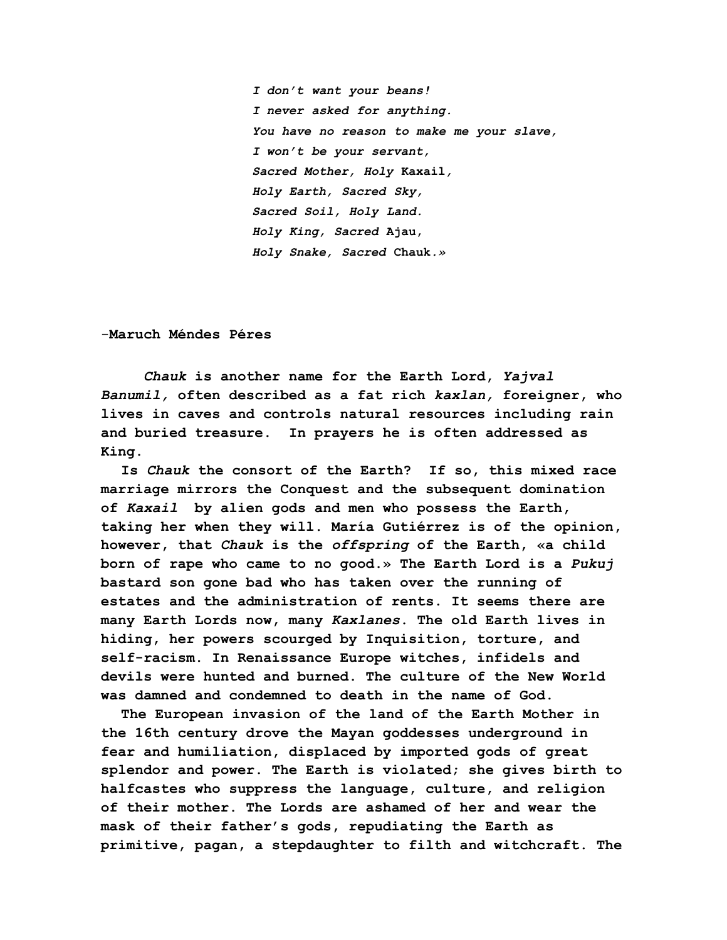*I don't want your beans! I never asked for anything. You have no reason to make me your slave, I won't be your servant, Sacred Mother, Holy* **Kaxail***, Holy Earth, Sacred Sky, Sacred Soil, Holy Land. Holy King, Sacred* **Ajau,** *Holy Snake, Sacred* **Chauk***.»*

-**Maruch Méndes Péres**

 *Chauk* **is another name for the Earth Lord,** *Yajval Banumil,* **often described as a fat rich** *kaxlan,* **foreigner, who lives in caves and controls natural resources including rain and buried treasure. In prayers he is often addressed as King.**

**Is** *Chauk* **the consort of the Earth? If so, this mixed race marriage mirrors the Conquest and the subsequent domination of** *Kaxail* **by alien gods and men who possess the Earth, taking her when they will. María Gutiérrez is of the opinion, however, that** *Chauk* **is the** *offspring* **of the Earth, «a child born of rape who came to no good.» The Earth Lord is a** *Pukuj* **bastard son gone bad who has taken over the running of estates and the administration of rents. It seems there are many Earth Lords now, many** *Kaxlanes***. The old Earth lives in hiding, her powers scourged by Inquisition, torture, and self-racism. In Renaissance Europe witches, infidels and devils were hunted and burned. The culture of the New World was damned and condemned to death in the name of God.**

**The European invasion of the land of the Earth Mother in the 16th century drove the Mayan goddesses underground in fear and humiliation, displaced by imported gods of great splendor and power. The Earth is violated; she gives birth to halfcastes who suppress the language, culture, and religion of their mother. The Lords are ashamed of her and wear the mask of their father's gods, repudiating the Earth as primitive, pagan, a stepdaughter to filth and witchcraft. The**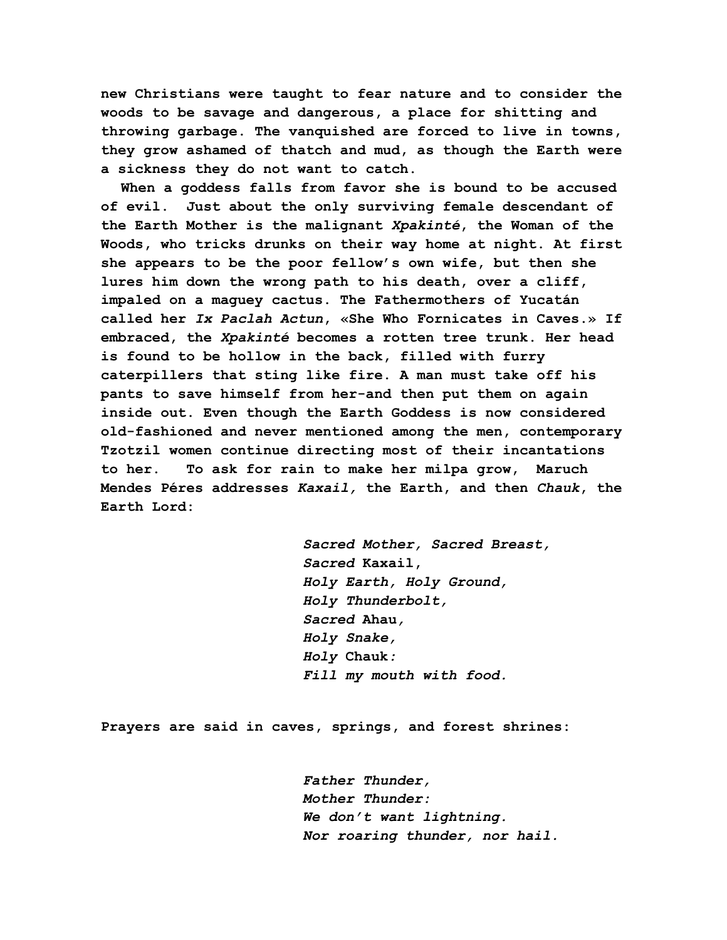**new Christians were taught to fear nature and to consider the woods to be savage and dangerous, a place for shitting and throwing garbage. The vanquished are forced to live in towns, they grow ashamed of thatch and mud, as though the Earth were a sickness they do not want to catch.**

**When a goddess falls from favor she is bound to be accused of evil. Just about the only surviving female descendant of the Earth Mother is the malignant** *Xpakinté***, the Woman of the Woods, who tricks drunks on their way home at night. At first she appears to be the poor fellow's own wife, but then she lures him down the wrong path to his death, over a cliff, impaled on a maguey cactus. The Fathermothers of Yucatán called her** *Ix Paclah Actun***, «She Who Fornicates in Caves.» If embraced, the** *Xpakinté* **becomes a rotten tree trunk. Her head is found to be hollow in the back, filled with furry caterpillers that sting like fire. A man must take off his pants to save himself from her-and then put them on again inside out. Even though the Earth Goddess is now considered old-fashioned and never mentioned among the men, contemporary Tzotzil women continue directing most of their incantations to her. To ask for rain to make her milpa grow, Maruch Mendes Péres addresses** *Kaxail,* **the Earth, and then** *Chauk***, the Earth Lord:**

> *Sacred Mother, Sacred Breast, Sacred* **Kaxail,** *Holy Earth, Holy Ground, Holy Thunderbolt, Sacred* **Ahau***, Holy Snake, Holy* **Chauk***: Fill my mouth with food.*

**Prayers are said in caves, springs, and forest shrines:**

*Father Thunder, Mother Thunder: We don't want lightning. Nor roaring thunder, nor hail.*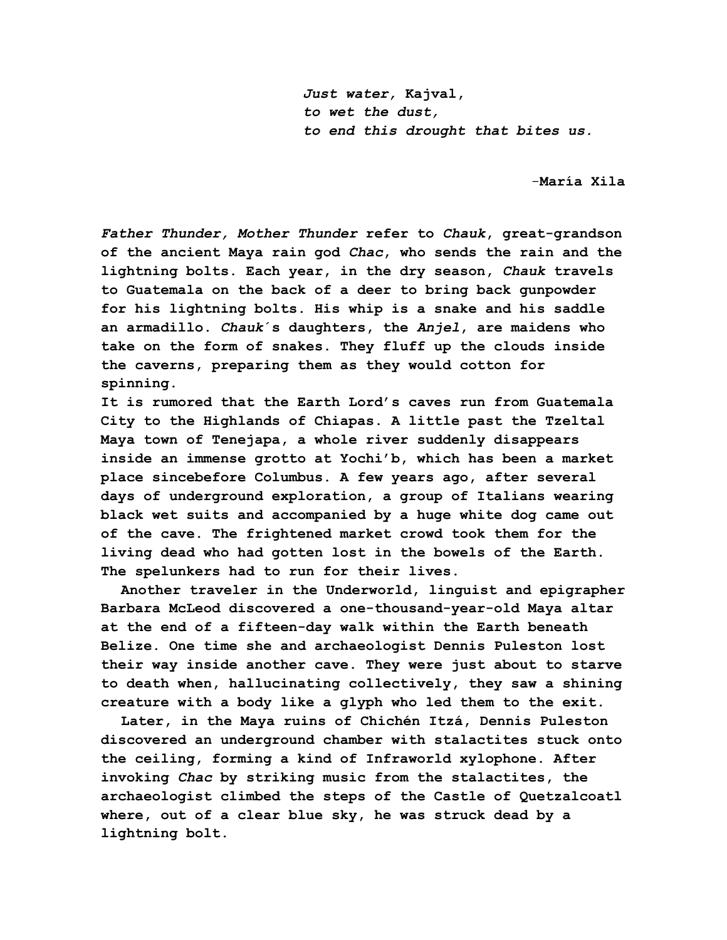*Just water,* **Kajval,** *to wet the dust, to end this drought that bites us.*

-**María Xila**

*Father Thunder, Mother Thunder* **refer to** *Chauk***, great-grandson of the ancient Maya rain god** *Chac***, who sends the rain and the lightning bolts. Each year, in the dry season,** *Chauk* **travels to Guatemala on the back of a deer to bring back gunpowder for his lightning bolts. His whip is a snake and his saddle an armadillo.** *Chauk***´s daughters, the** *Anjel***, are maidens who take on the form of snakes. They fluff up the clouds inside the caverns, preparing them as they would cotton for spinning.**

**It is rumored that the Earth Lord's caves run from Guatemala City to the Highlands of Chiapas. A little past the Tzeltal Maya town of Tenejapa, a whole river suddenly disappears inside an immense grotto at Yochi'b, which has been a market place sincebefore Columbus. A few years ago, after several days of underground exploration, a group of Italians wearing black wet suits and accompanied by a huge white dog came out of the cave. The frightened market crowd took them for the living dead who had gotten lost in the bowels of the Earth. The spelunkers had to run for their lives.**

**Another traveler in the Underworld, linguist and epigrapher Barbara McLeod discovered a one-thousand-year-old Maya altar at the end of a fifteen-day walk within the Earth beneath Belize. One time she and archaeologist Dennis Puleston lost their way inside another cave. They were just about to starve to death when, hallucinating collectively, they saw a shining creature with a body like a glyph who led them to the exit.**

**Later, in the Maya ruins of Chichén Itzá, Dennis Puleston discovered an underground chamber with stalactites stuck onto the ceiling, forming a kind of Infraworld xylophone. After invoking** *Chac* **by striking music from the stalactites, the archaeologist climbed the steps of the Castle of Quetzalcoatl where, out of a clear blue sky, he was struck dead by a lightning bolt.**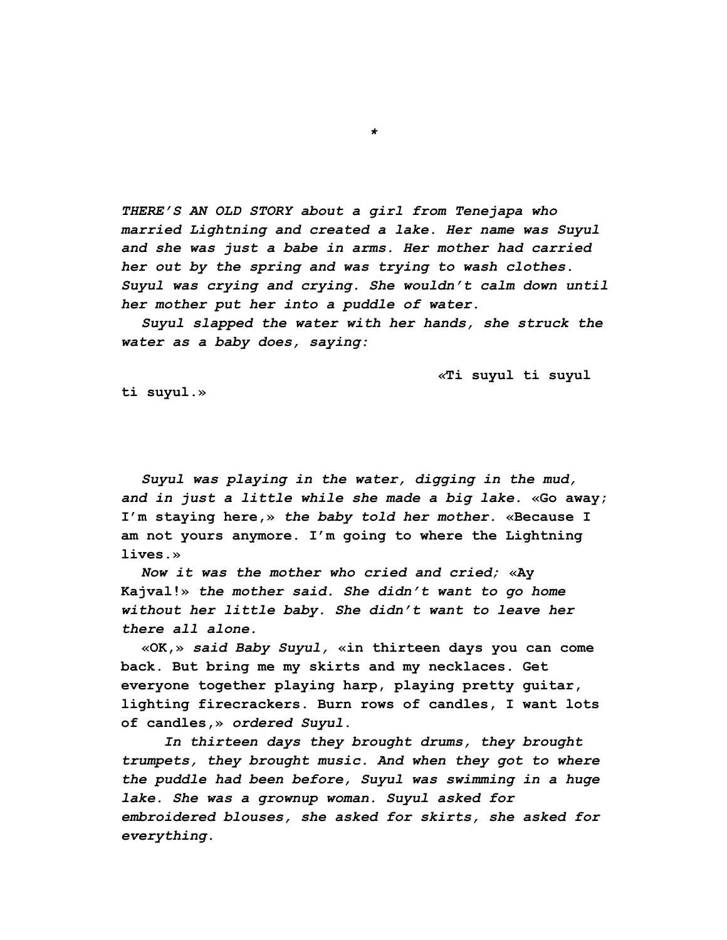*THERE'S AN OLD STORY about a girl from Tenejapa who married Lightning and created a lake. Her name was Suyul and she was just a babe in arms. Her mother had carried her out by the spring and was trying to wash clothes. Suyul was crying and crying. She wouldn't calm down until her mother put her into a puddle of water.*

*Suyul slapped the water with her hands, she struck the water as a baby does, saying:*

 *«***Ti suyul ti suyul**

**ti suyul.»**

*Suyul was playing in the water, digging in the mud, and in just a little while she made a big lake.* **«Go away; I'm staying here,»** *the baby told her mother.* **«Because I am not yours anymore. I'm going to where the Lightning lives.»**

*Now it was the mother who cried and cried;* **«Ay Kajval!»** *the mother said. She didn't want to go home without her little baby. She didn't want to leave her there all alone.*

**«OK,»** *said Baby Suyul,* **«in thirteen days you can come back. But bring me my skirts and my necklaces. Get everyone together playing harp, playing pretty guitar, lighting firecrackers. Burn rows of candles, I want lots of candles,»** *ordered Suyul.*

 *In thirteen days they brought drums, they brought trumpets, they brought music. And when they got to where the puddle had been before, Suyul was swimming in a huge lake. She was a grownup woman. Suyul asked for embroidered blouses, she asked for skirts, she asked for everything.*

*\**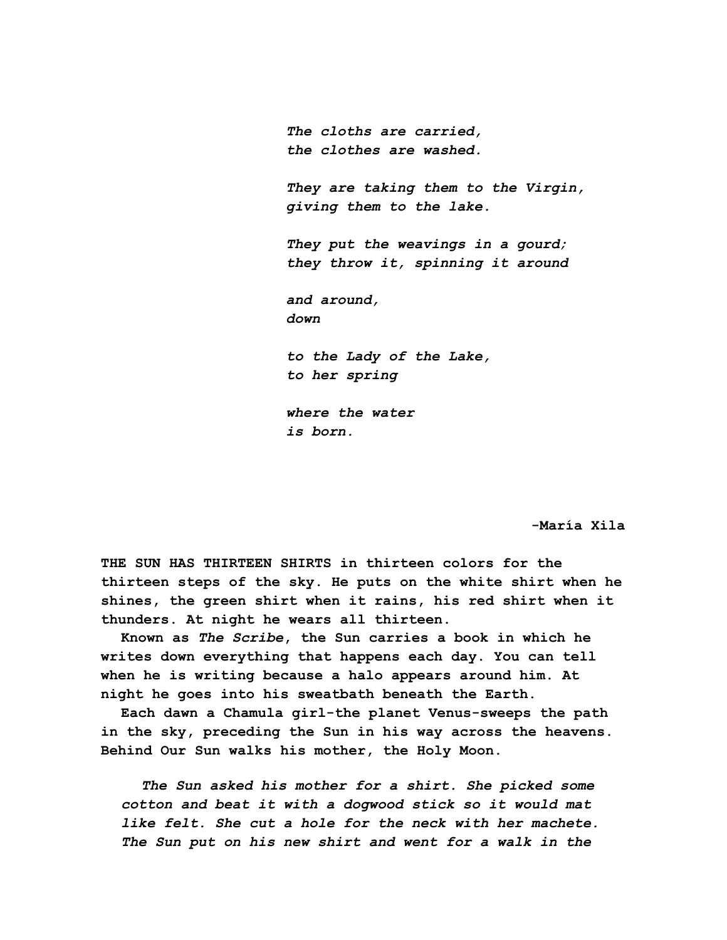*The cloths are carried, the clothes are washed. They are taking them to the Virgin, giving them to the lake. They put the weavings in a gourd; they throw it, spinning it around and around, down to the Lady of the Lake, to her spring where the water is born.*

**-María Xila**

**THE SUN HAS THIRTEEN SHIRTS in thirteen colors for the thirteen steps of the sky. He puts on the white shirt when he shines, the green shirt when it rains, his red shirt when it thunders. At night he wears all thirteen.**

**Known as** *The Scribe***, the Sun carries a book in which he writes down everything that happens each day. You can tell when he is writing because a halo appears around him. At night he goes into his sweatbath beneath the Earth.**

**Each dawn a Chamula girl-the planet Venus-sweeps the path in the sky, preceding the Sun in his way across the heavens. Behind Our Sun walks his mother, the Holy Moon.**

*The Sun asked his mother for a shirt. She picked some cotton and beat it with a dogwood stick so it would mat like felt. She cut a hole for the neck with her machete. The Sun put on his new shirt and went for a walk in the*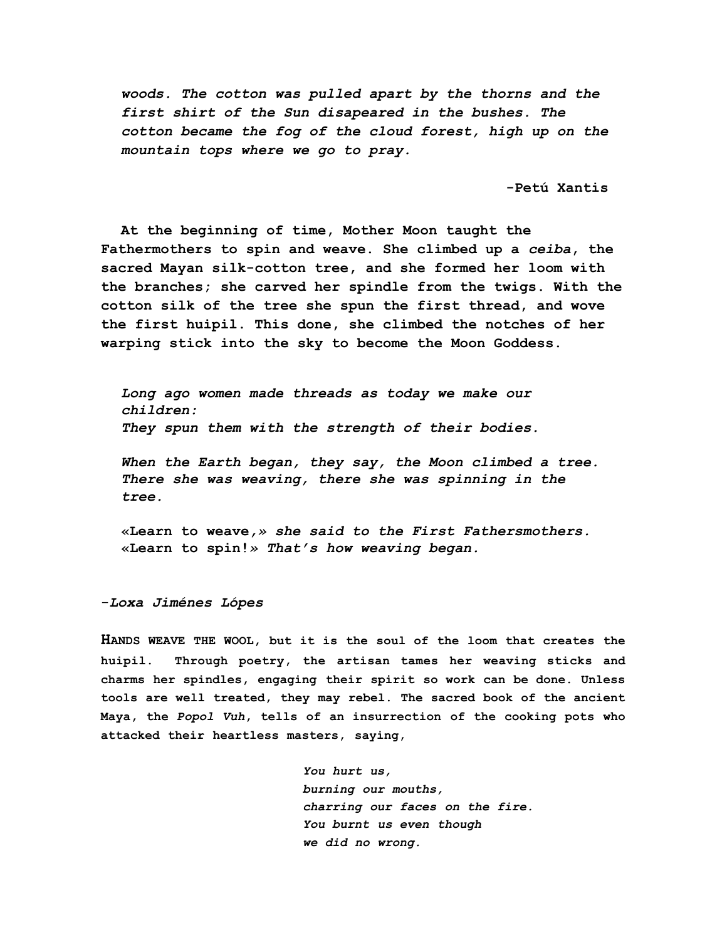*woods. The cotton was pulled apart by the thorns and the first shirt of the Sun disapeared in the bushes. The cotton became the fog of the cloud forest, high up on the mountain tops where we go to pray.*

**-Petú Xantis**

**At the beginning of time, Mother Moon taught the Fathermothers to spin and weave. She climbed up a** *ceiba***, the sacred Mayan silk-cotton tree, and she formed her loom with the branches; she carved her spindle from the twigs. With the cotton silk of the tree she spun the first thread, and wove the first huipil. This done, she climbed the notches of her warping stick into the sky to become the Moon Goddess.**

*Long ago women made threads as today we make our children: They spun them with the strength of their bodies.*

*When the Earth began, they say, the Moon climbed a tree. There she was weaving, there she was spinning in the tree.*

**«Learn to weave***,» she said to the First Fathersmothers.* **«Learn to spin!***» That's how weaving began.*

-*Loxa Jiménes Lópes*

**HANDS WEAVE THE WOOL, but it is the soul of the loom that creates the huipil. Through poetry, the artisan tames her weaving sticks and charms her spindles, engaging their spirit so work can be done. Unless tools are well treated, they may rebel. The sacred book of the ancient Maya, the** *Popol Vuh***, tells of an insurrection of the cooking pots who attacked their heartless masters, saying,**

> *You hurt us, burning our mouths, charring our faces on the fire. You burnt us even though we did no wrong.*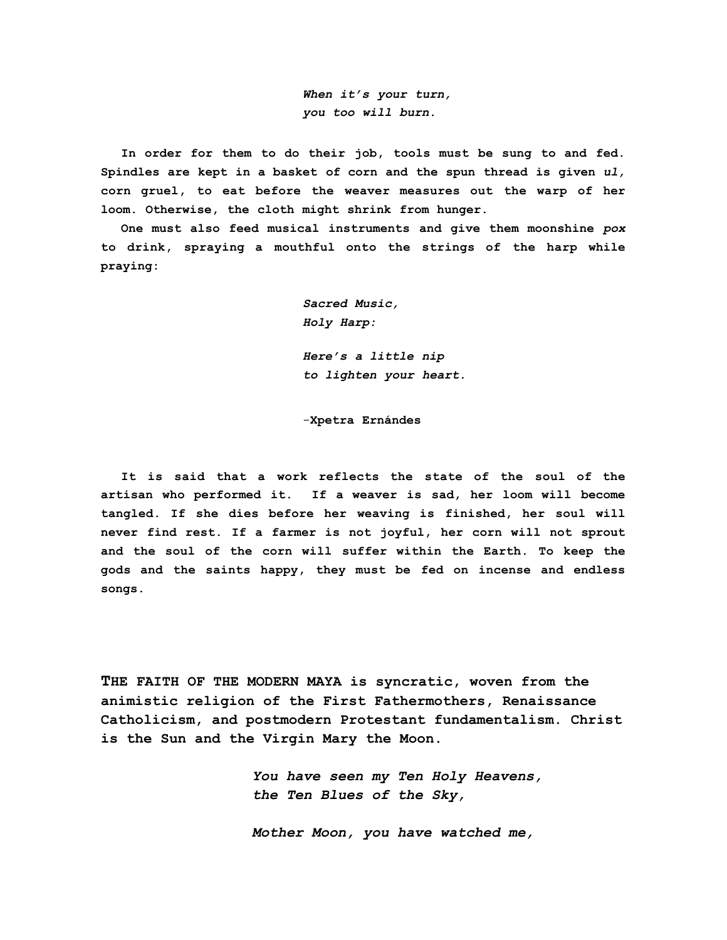*When it's your turn, you too will burn.*

**In order for them to do their job, tools must be sung to and fed. Spindles are kept in a basket of corn and the spun thread is given** *ul,* **corn gruel, to eat before the weaver measures out the warp of her loom. Otherwise, the cloth might shrink from hunger.**

**One must also feed musical instruments and give them moonshine** *pox* **to drink, spraying a mouthful onto the strings of the harp while praying:**

> *Sacred Music, Holy Harp:*

*Here's a little nip to lighten your heart.*

-**Xpetra Ernándes**

**It is said that a work reflects the state of the soul of the artisan who performed it. If a weaver is sad, her loom will become tangled. If she dies before her weaving is finished, her soul will never find rest. If a farmer is not joyful, her corn will not sprout and the soul of the corn will suffer within the Earth. To keep the gods and the saints happy, they must be fed on incense and endless songs.**

**THE FAITH OF THE MODERN MAYA is syncratic, woven from the animistic religion of the First Fathermothers, Renaissance Catholicism, and postmodern Protestant fundamentalism. Christ is the Sun and the Virgin Mary the Moon.**

> *You have seen my Ten Holy Heavens, the Ten Blues of the Sky,*

*Mother Moon, you have watched me,*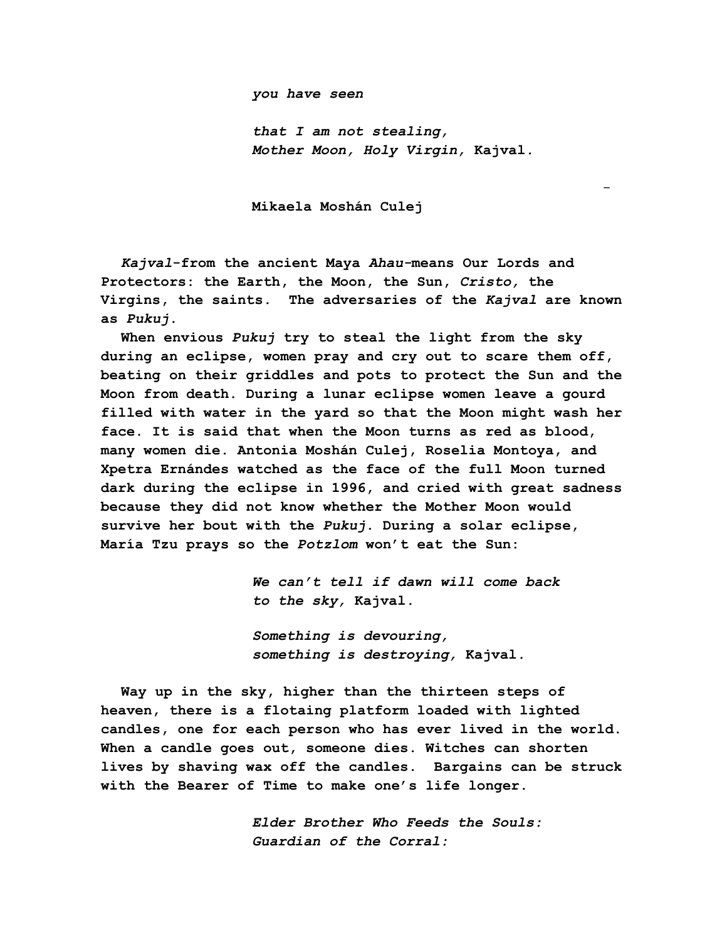*you have seen*

*that I am not stealing, Mother Moon, Holy Virgin,* **Kajval***.*

-

**Mikaela Moshán Culej**

*Kajval***-from the ancient Maya** *Ahau-***means Our Lords and Protectors: the Earth, the Moon, the Sun,** *Cristo,* **the Virgins, the saints. The adversaries of the** *Kajval* **are known as** *Pukuj***.**

**When envious** *Pukuj* **try to steal the light from the sky during an eclipse, women pray and cry out to scare them off, beating on their griddles and pots to protect the Sun and the Moon from death. During a lunar eclipse women leave a gourd filled with water in the yard so that the Moon might wash her face. It is said that when the Moon turns as red as blood, many women die. Antonia Moshán Culej, Roselia Montoya, and Xpetra Ernándes watched as the face of the full Moon turned dark during the eclipse in 1996, and cried with great sadness because they did not know whether the Mother Moon would survive her bout with the** *Pukuj***. During a solar eclipse, María Tzu prays so the** *Potzlom* **won't eat the Sun:**

> *We can't tell if dawn will come back to the sky,* **Kajval***.*

*Something is devouring, something is destroying,* **Kajval***.*

**Way up in the sky, higher than the thirteen steps of heaven, there is a flotaing platform loaded with lighted candles, one for each person who has ever lived in the world. When a candle goes out, someone dies. Witches can shorten lives by shaving wax off the candles. Bargains can be struck with the Bearer of Time to make one's life longer.**

> *Elder Brother Who Feeds the Souls: Guardian of the Corral:*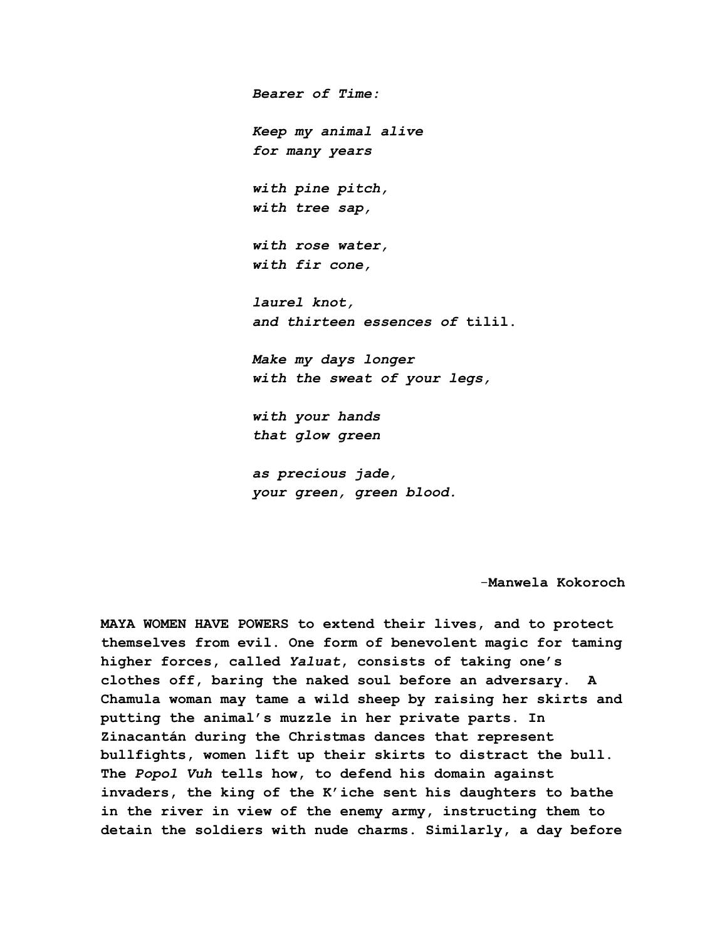*Bearer of Time: Keep my animal alive for many years with pine pitch, with tree sap, with rose water, with fir cone, laurel knot, and thirteen essences of* **tilil.** *Make my days longer with the sweat of your legs, with your hands that glow green as precious jade,*

*your green, green blood.*

-**Manwela Kokoroch**

**MAYA WOMEN HAVE POWERS to extend their lives, and to protect themselves from evil. One form of benevolent magic for taming higher forces, called** *Yaluat***, consists of taking one's clothes off, baring the naked soul before an adversary. A Chamula woman may tame a wild sheep by raising her skirts and putting the animal's muzzle in her private parts. In Zinacantán during the Christmas dances that represent bullfights, women lift up their skirts to distract the bull. The** *Popol Vuh* **tells how, to defend his domain against invaders, the king of the K'iche sent his daughters to bathe in the river in view of the enemy army, instructing them to detain the soldiers with nude charms. Similarly, a day before**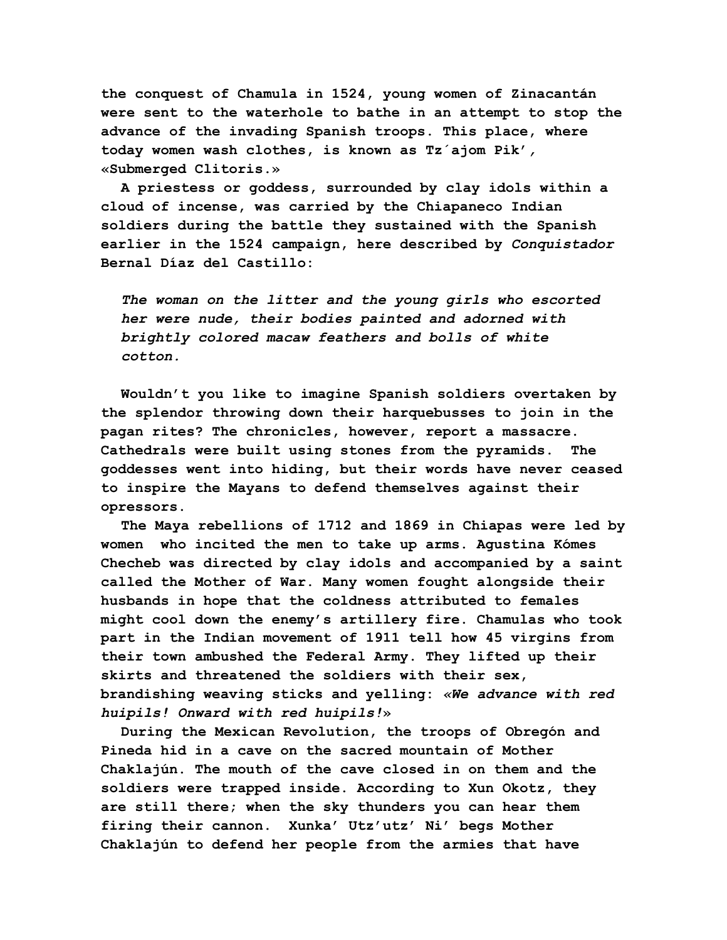**the conquest of Chamula in 1524, young women of Zinacantán were sent to the waterhole to bathe in an attempt to stop the advance of the invading Spanish troops. This place, where today women wash clothes, is known as Tz´ajom Pik'***,* **«Submerged Clitoris.»**

**A priestess or goddess, surrounded by clay idols within a cloud of incense, was carried by the Chiapaneco Indian soldiers during the battle they sustained with the Spanish earlier in the 1524 campaign, here described by** *Conquistador* **Bernal Díaz del Castillo:**

*The woman on the litter and the young girls who escorted her were nude, their bodies painted and adorned with brightly colored macaw feathers and bolls of white cotton.*

**Wouldn't you like to imagine Spanish soldiers overtaken by the splendor throwing down their harquebusses to join in the pagan rites? The chronicles, however, report a massacre. Cathedrals were built using stones from the pyramids. The goddesses went into hiding, but their words have never ceased to inspire the Mayans to defend themselves against their opressors.**

**The Maya rebellions of 1712 and 1869 in Chiapas were led by women who incited the men to take up arms. Agustina Kómes Checheb was directed by clay idols and accompanied by a saint called the Mother of War. Many women fought alongside their husbands in hope that the coldness attributed to females might cool down the enemy's artillery fire. Chamulas who took part in the Indian movement of 1911 tell how 45 virgins from their town ambushed the Federal Army. They lifted up their skirts and threatened the soldiers with their sex, brandishing weaving sticks and yelling:** *«We advance with red huipils! Onward with red huipils!***»**

**During the Mexican Revolution, the troops of Obregón and Pineda hid in a cave on the sacred mountain of Mother Chaklajún. The mouth of the cave closed in on them and the soldiers were trapped inside. According to Xun Okotz, they are still there; when the sky thunders you can hear them firing their cannon. Xunka' Utz'utz' Ni' begs Mother Chaklajún to defend her people from the armies that have**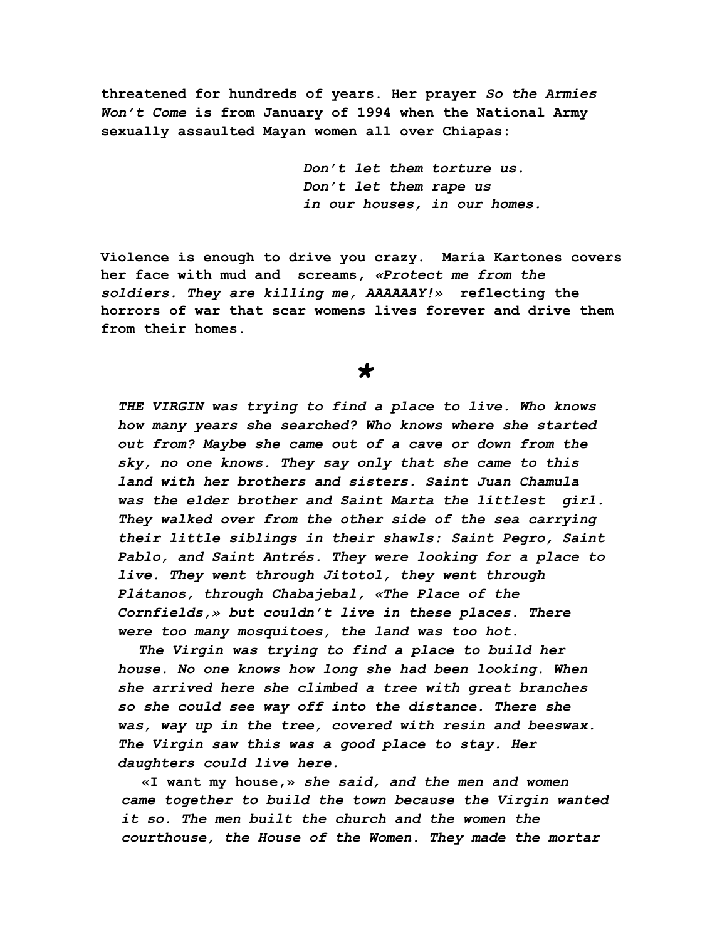**threatened for hundreds of years. Her prayer** *So the Armies Won't Come* **is from January of 1994 when the National Army sexually assaulted Mayan women all over Chiapas:**

> *Don't let them torture us. Don't let them rape us in our houses, in our homes.*

**Violence is enough to drive you crazy. María Kartones covers her face with mud and screams,** *«Protect me from the soldiers. They are killing me, AAAAAAY!»* **reflecting the horrors of war that scar womens lives forever and drive them from their homes.**

## *\**

*THE VIRGIN was trying to find a place to live. Who knows how many years she searched? Who knows where she started out from? Maybe she came out of a cave or down from the sky, no one knows. They say only that she came to this land with her brothers and sisters. Saint Juan Chamula was the elder brother and Saint Marta the littlest girl. They walked over from the other side of the sea carrying their little siblings in their shawls: Saint Pegro, Saint Pablo, and Saint Antrés. They were looking for a place to live. They went through Jitotol, they went through Plátanos, through Chabajebal, «The Place of the Cornfields,» but couldn't live in these places. There were too many mosquitoes, the land was too hot.*

*The Virgin was trying to find a place to build her house. No one knows how long she had been looking. When she arrived here she climbed a tree with great branches so she could see way off into the distance. There she was, way up in the tree, covered with resin and beeswax. The Virgin saw this was a good place to stay. Her daughters could live here.*

**«I want my house,»** *she said, and the men and women came together to build the town because the Virgin wanted it so. The men built the church and the women the courthouse, the House of the Women. They made the mortar*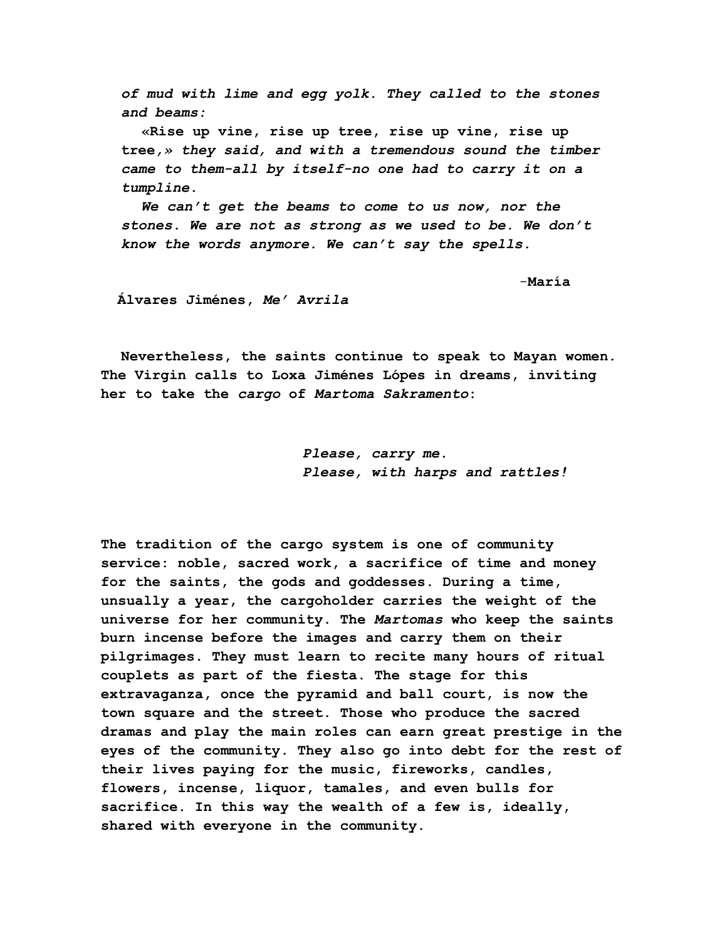*of mud with lime and egg yolk. They called to the stones and beams:*

**«Rise up vine, rise up tree, rise up vine, rise up tree***,» they said, and with a tremendous sound the timber came to them-all by itself-no one had to carry it on a tumpline.*

*We can't get the beams to come to us now, nor the stones. We are not as strong as we used to be. We don't know the words anymore. We can't say the spells.*

-**María**

**Álvares Jiménes,** *Me' Avrila*

**Nevertheless, the saints continue to speak to Mayan women. The Virgin calls to Loxa Jiménes Lópes in dreams, inviting her to take the** *cargo* **of** *Martoma Sakramento***:**

> *Please, carry me. Please, with harps and rattles!*

**The tradition of the cargo system is one of community service: noble, sacred work, a sacrifice of time and money for the saints, the gods and goddesses. During a time, unsually a year, the cargoholder carries the weight of the universe for her community. The** *Martomas* **who keep the saints burn incense before the images and carry them on their pilgrimages. They must learn to recite many hours of ritual couplets as part of the fiesta. The stage for this extravaganza, once the pyramid and ball court, is now the town square and the street. Those who produce the sacred dramas and play the main roles can earn great prestige in the eyes of the community. They also go into debt for the rest of their lives paying for the music, fireworks, candles, flowers, incense, liquor, tamales, and even bulls for sacrifice. In this way the wealth of a few is, ideally, shared with everyone in the community.**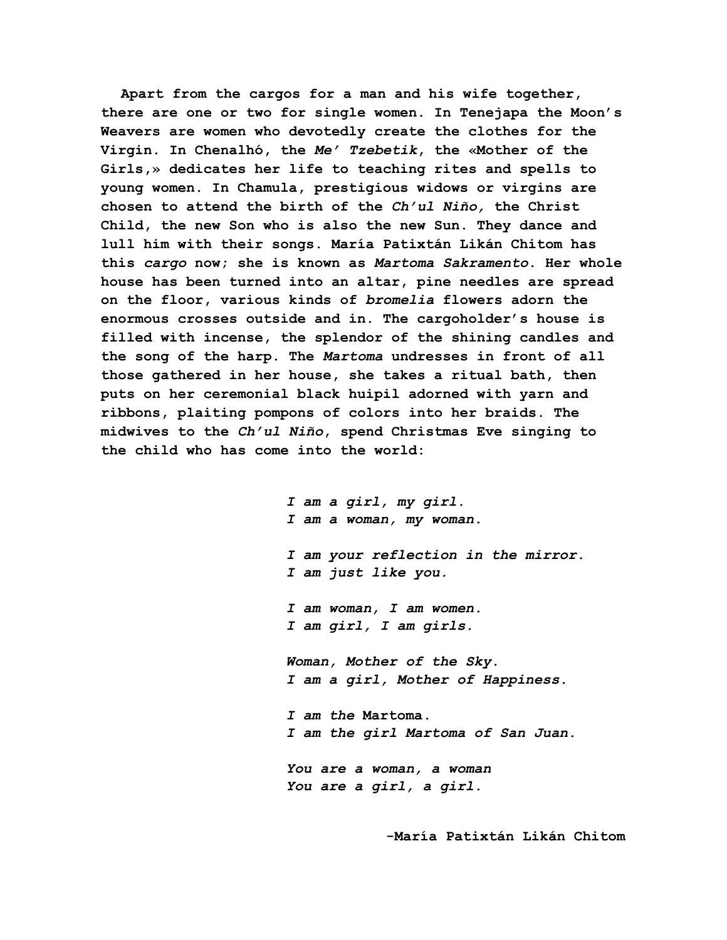**Apart from the cargos for a man and his wife together, there are one or two for single women. In Tenejapa the Moon's Weavers are women who devotedly create the clothes for the Virgin. In Chenalhó, the** *Me' Tzebetik***, the «Mother of the Girls,» dedicates her life to teaching rites and spells to young women. In Chamula, prestigious widows or virgins are chosen to attend the birth of the** *Ch'ul Niño,* **the Christ Child, the new Son who is also the new Sun. They dance and lull him with their songs. María Patixtán Likán Chitom has this** *cargo* **now; she is known as** *Martoma Sakramento***. Her whole house has been turned into an altar, pine needles are spread on the floor, various kinds of** *bromelia* **flowers adorn the enormous crosses outside and in. The cargoholder's house is filled with incense, the splendor of the shining candles and the song of the harp. The** *Martoma* **undresses in front of all those gathered in her house, she takes a ritual bath, then puts on her ceremonial black huipil adorned with yarn and ribbons, plaiting pompons of colors into her braids. The midwives to the** *Ch'ul Niño***, spend Christmas Eve singing to the child who has come into the world:**

> *I am a girl, my girl. I am a woman, my woman. I am your reflection in the mirror. I am just like you. I am woman, I am women. I am girl, I am girls. Woman, Mother of the Sky. I am a girl, Mother of Happiness. I am the* **Martoma***. I am the girl Martoma of San Juan. You are a woman, a woman You are a girl, a girl.*

> > **-María Patixtán Likán Chitom**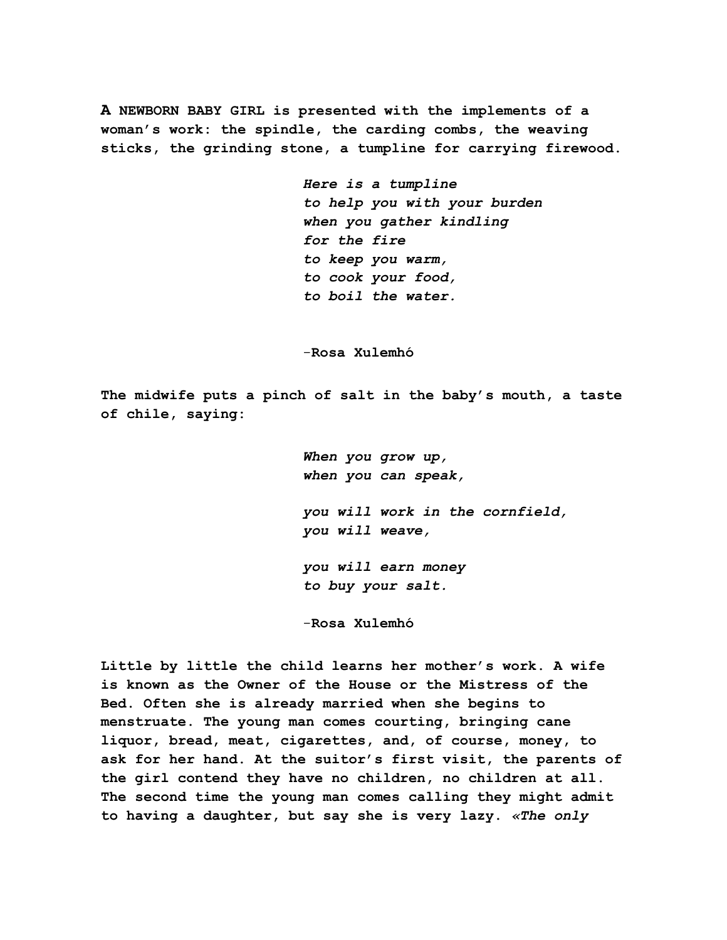**A NEWBORN BABY GIRL is presented with the implements of a woman's work: the spindle, the carding combs, the weaving sticks, the grinding stone, a tumpline for carrying firewood.**

> *Here is a tumpline to help you with your burden when you gather kindling for the fire to keep you warm, to cook your food, to boil the water.*

-**Rosa Xulemhó**

**The midwife puts a pinch of salt in the baby's mouth, a taste of chile, saying:**

> *When you grow up, when you can speak, you will work in the cornfield, you will weave, you will earn money*

*to buy your salt.*

-**Rosa Xulemhó**

**Little by little the child learns her mother's work. A wife is known as the Owner of the House or the Mistress of the Bed. Often she is already married when she begins to menstruate. The young man comes courting, bringing cane liquor, bread, meat, cigarettes, and, of course, money, to ask for her hand. At the suitor's first visit, the parents of the girl contend they have no children, no children at all. The second time the young man comes calling they might admit to having a daughter, but say she is very lazy.** *«The only*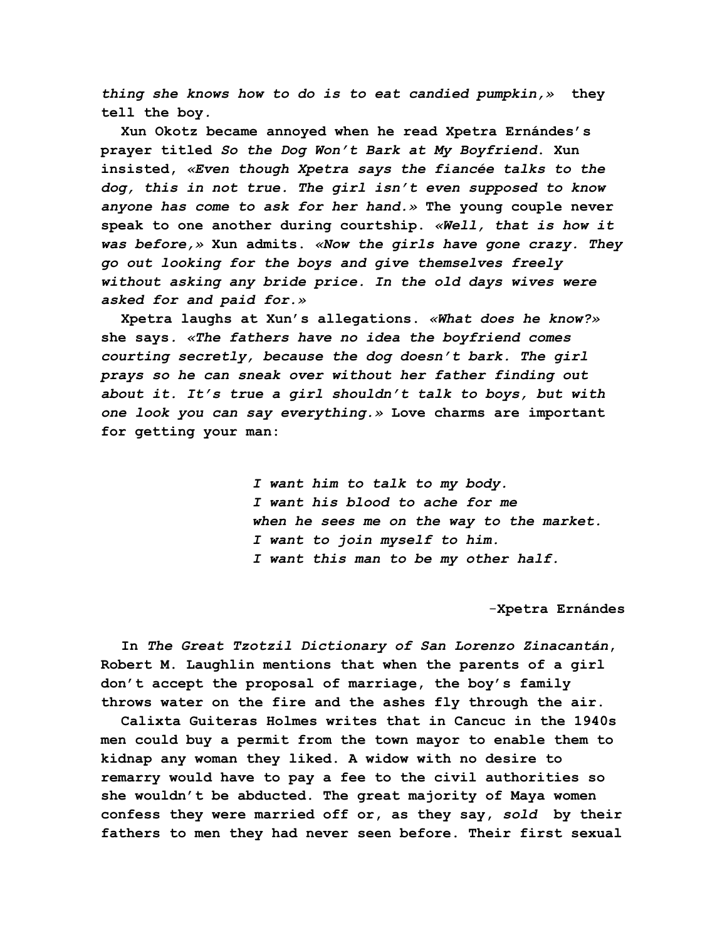*thing she knows how to do is to eat candied pumpkin,»* **they tell the boy***.*

**Xun Okotz became annoyed when he read Xpetra Ernándes's prayer titled** *So the Dog Won't Bark at My Boyfriend***. Xun insisted,** *«Even though Xpetra says the fiancée talks to the dog, this in not true. The girl isn't even supposed to know anyone has come to ask for her hand.»* **The young couple never speak to one another during courtship.** *«Well, that is how it was before,»* **Xun admits.** *«Now the girls have gone crazy. They go out looking for the boys and give themselves freely without asking any bride price. In the old days wives were asked for and paid for.»*

**Xpetra laughs at Xun's allegations.** *«What does he know?»* **she says***. «The fathers have no idea the boyfriend comes courting secretly, because the dog doesn't bark. The girl prays so he can sneak over without her father finding out about it. It's true a girl shouldn't talk to boys, but with one look you can say everything.»* **Love charms are important for getting your man:**

> *I want him to talk to my body. I want his blood to ache for me when he sees me on the way to the market. I want to join myself to him. I want this man to be my other half.*

## -**Xpetra Ernándes**

**In** *The Great Tzotzil Dictionary of San Lorenzo Zinacantán***, Robert M. Laughlin mentions that when the parents of a girl don't accept the proposal of marriage, the boy's family throws water on the fire and the ashes fly through the air.**

**Calixta Guiteras Holmes writes that in Cancuc in the 1940s men could buy a permit from the town mayor to enable them to kidnap any woman they liked. A widow with no desire to remarry would have to pay a fee to the civil authorities so she wouldn't be abducted. The great majority of Maya women confess they were married off or, as they say,** *sold* **by their fathers to men they had never seen before. Their first sexual**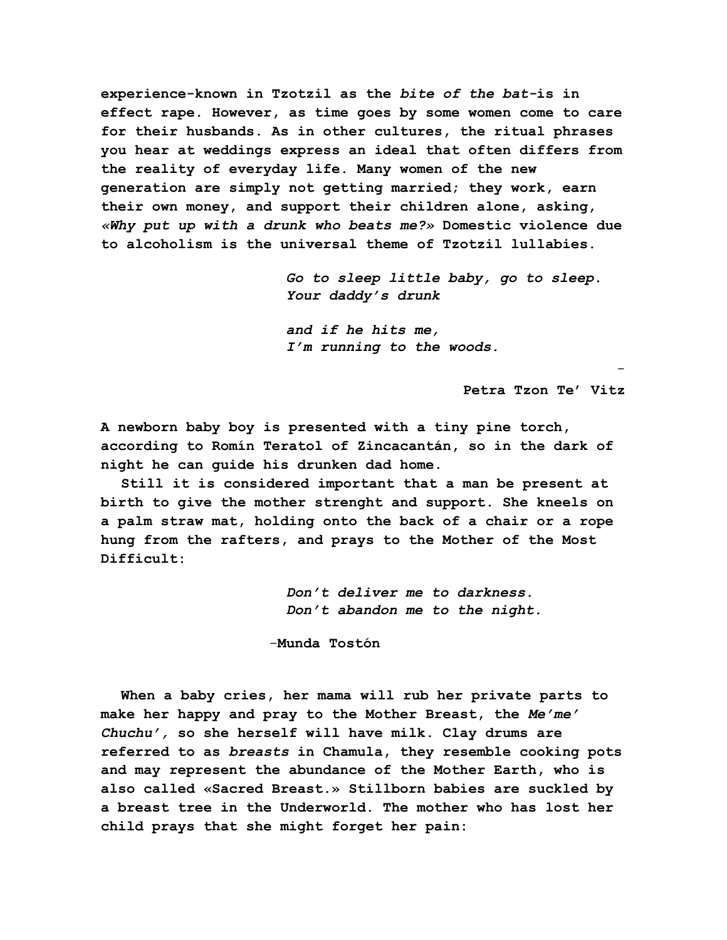**experience-known in Tzotzil as the** *bite of the bat-***is in effect rape. However, as time goes by some women come to care for their husbands. As in other cultures, the ritual phrases you hear at weddings express an ideal that often differs from the reality of everyday life. Many women of the new generation are simply not getting married; they work, earn their own money, and support their children alone, asking,** *«Why put up with a drunk who beats me?»* **Domestic violence due to alcoholism is the universal theme of Tzotzil lullabies.**

> *Go to sleep little baby, go to sleep. Your daddy's drunk*

-

*and if he hits me, I'm running to the woods.*

**Petra Tzon Te' Vitz**

**A newborn baby boy is presented with a tiny pine torch, according to Romín Teratol of Zincacantán, so in the dark of night he can guide his drunken dad home.**

**Still it is considered important that a man be present at birth to give the mother strenght and support. She kneels on a palm straw mat, holding onto the back of a chair or a rope hung from the rafters, and prays to the Mother of the Most Difficult:**

> *Don't deliver me to darkness. Don't abandon me to the night.*

-**Munda Tostón**

**When a baby cries, her mama will rub her private parts to make her happy and pray to the Mother Breast, the** *Me'me' Chuchu',* **so she herself will have milk. Clay drums are referred to as** *breasts* **in Chamula, they resemble cooking pots and may represent the abundance of the Mother Earth, who is also called «Sacred Breast.» Stillborn babies are suckled by a breast tree in the Underworld. The mother who has lost her child prays that she might forget her pain:**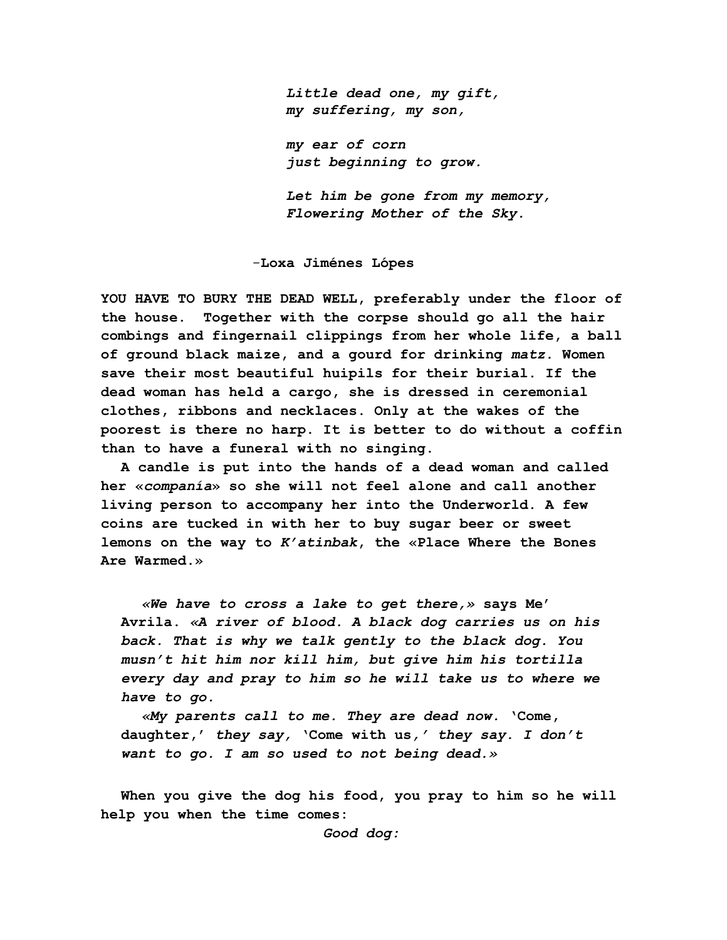*Little dead one, my gift, my suffering, my son,*

*my ear of corn just beginning to grow.*

*Let him be gone from my memory, Flowering Mother of the Sky.*

-**Loxa Jiménes Lópes**

**YOU HAVE TO BURY THE DEAD WELL, preferably under the floor of the house. Together with the corpse should go all the hair combings and fingernail clippings from her whole life, a ball of ground black maize, and a gourd for drinking** *matz***. Women save their most beautiful huipils for their burial. If the dead woman has held a cargo, she is dressed in ceremonial clothes, ribbons and necklaces. Only at the wakes of the poorest is there no harp. It is better to do without a coffin than to have a funeral with no singing.**

**A candle is put into the hands of a dead woman and called her «***companía***» so she will not feel alone and call another living person to accompany her into the Underworld. A few coins are tucked in with her to buy sugar beer or sweet lemons on the way to** *K'atinbak***, the «Place Where the Bones Are Warmed.»**

*«We have to cross a lake to get there,»* **says Me' Avrila.** *«A river of blood. A black dog carries us on his back. That is why we talk gently to the black dog. You musn't hit him nor kill him, but give him his tortilla every day and pray to him so he will take us to where we have to go.*

*«My parents call to me. They are dead now.* **'Come, daughter,'** *they say,* **'Come with us***,' they say. I don't want to go. I am so used to not being dead.»*

**When you give the dog his food, you pray to him so he will help you when the time comes:**

*Good dog:*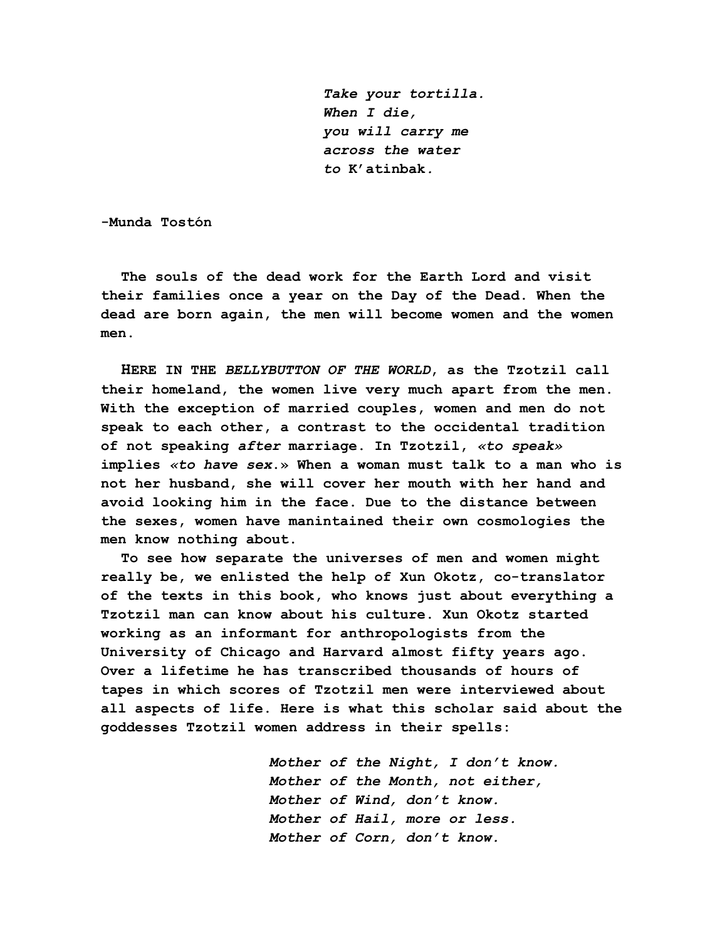*Take your tortilla. When I die, you will carry me across the water to* **K'atinbak***.*

**-Munda Tostón**

**The souls of the dead work for the Earth Lord and visit their families once a year on the Day of the Dead. When the dead are born again, the men will become women and the women men.**

**HERE IN THE** *BELLYBUTTON OF THE WORLD***, as the Tzotzil call their homeland, the women live very much apart from the men. With the exception of married couples, women and men do not speak to each other, a contrast to the occidental tradition of not speaking** *after* **marriage. In Tzotzil,** *«to speak»* **implies** *«to have sex***.» When a woman must talk to a man who is not her husband, she will cover her mouth with her hand and avoid looking him in the face. Due to the distance between the sexes, women have manintained their own cosmologies the men know nothing about.**

**To see how separate the universes of men and women might really be, we enlisted the help of Xun Okotz, co-translator of the texts in this book, who knows just about everything a Tzotzil man can know about his culture. Xun Okotz started working as an informant for anthropologists from the University of Chicago and Harvard almost fifty years ago. Over a lifetime he has transcribed thousands of hours of tapes in which scores of Tzotzil men were interviewed about all aspects of life. Here is what this scholar said about the goddesses Tzotzil women address in their spells:**

> *Mother of the Night, I don't know. Mother of the Month, not either, Mother of Wind, don't know. Mother of Hail, more or less. Mother of Corn, don't know.*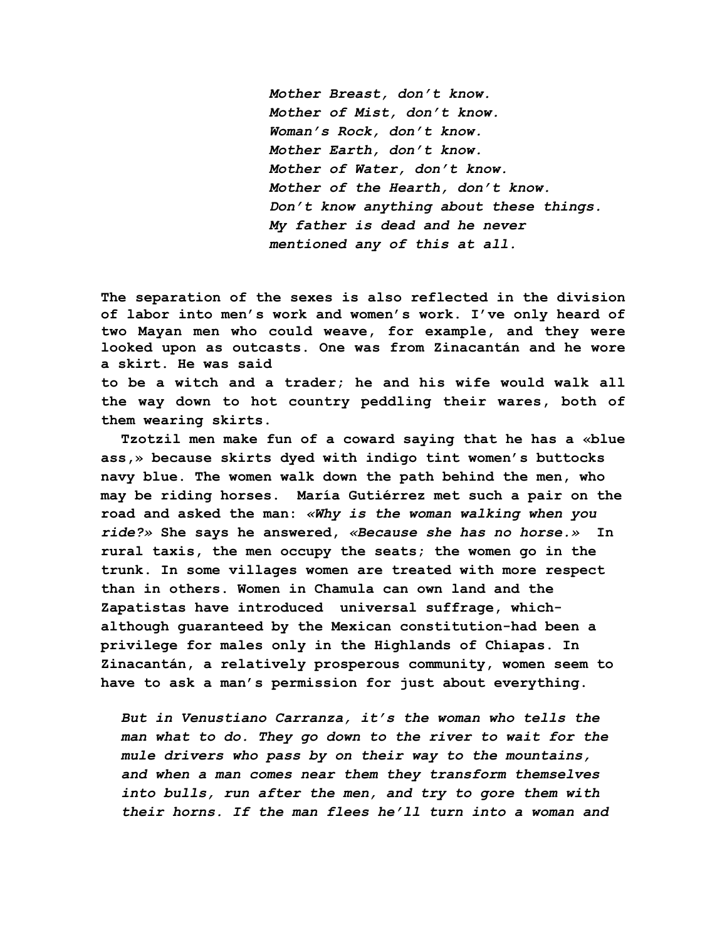*Mother Breast, don't know. Mother of Mist, don't know. Woman's Rock, don't know. Mother Earth, don't know. Mother of Water, don't know. Mother of the Hearth, don't know. Don't know anything about these things. My father is dead and he never mentioned any of this at all.*

**The separation of the sexes is also reflected in the division of labor into men's work and women's work. I've only heard of two Mayan men who could weave, for example, and they were looked upon as outcasts. One was from Zinacantán and he wore a skirt. He was said to be a witch and a trader; he and his wife would walk all**

**the way down to hot country peddling their wares, both of them wearing skirts.**

**Tzotzil men make fun of a coward saying that he has a «blue ass,» because skirts dyed with indigo tint women's buttocks navy blue. The women walk down the path behind the men, who may be riding horses. María Gutiérrez met such a pair on the road and asked the man:** *«Why is the woman walking when you ride?»* **She says he answered,** *«Because she has no horse.»* **In rural taxis, the men occupy the seats; the women go in the trunk. In some villages women are treated with more respect than in others. Women in Chamula can own land and the Zapatistas have introduced universal suffrage, whichalthough guaranteed by the Mexican constitution-had been a privilege for males only in the Highlands of Chiapas. In Zinacantán, a relatively prosperous community, women seem to have to ask a man's permission for just about everything.**

*But in Venustiano Carranza, it's the woman who tells the man what to do. They go down to the river to wait for the mule drivers who pass by on their way to the mountains, and when a man comes near them they transform themselves into bulls, run after the men, and try to gore them with their horns. If the man flees he'll turn into a woman and*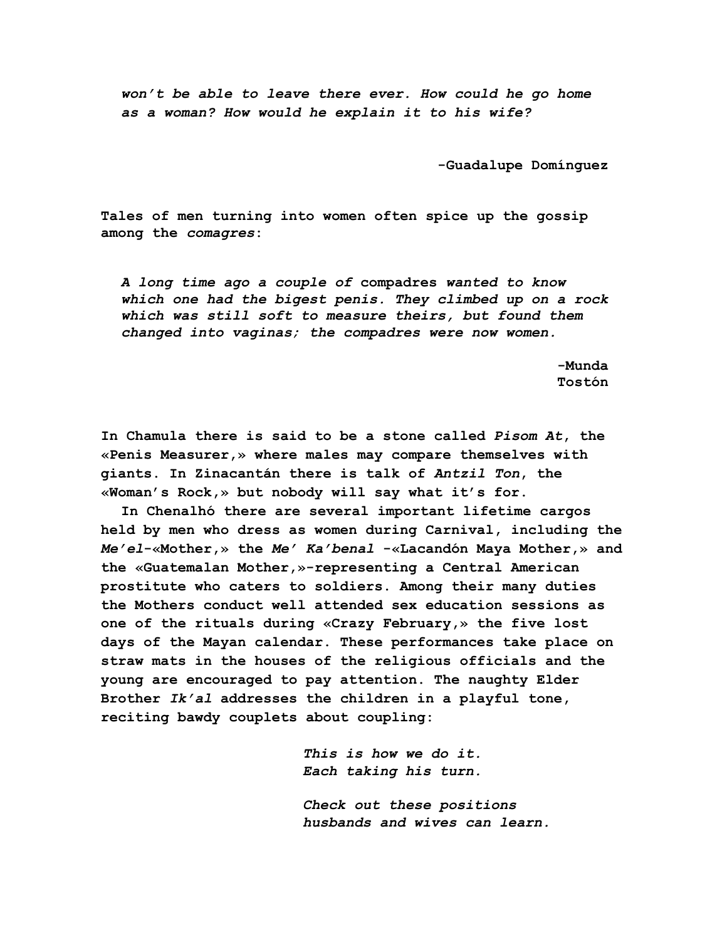*won't be able to leave there ever. How could he go home as a woman? How would he explain it to his wife?*

**-Guadalupe Domínguez**

**Tales of men turning into women often spice up the gossip among the** *comagres***:**

*A long time ago a couple of* **compadres** *wanted to know which one had the bigest penis. They climbed up on a rock which was still soft to measure theirs, but found them changed into vaginas; the compadres were now women.*

 **-Munda Tostón**

**In Chamula there is said to be a stone called** *Pisom At***, the «Penis Measurer,» where males may compare themselves with giants. In Zinacantán there is talk of** *Antzil Ton***, the «Woman's Rock,» but nobody will say what it's for.**

**In Chenalhó there are several important lifetime cargos held by men who dress as women during Carnival, including the** *Me'el***-«Mother,» the** *Me' Ka'benal* **-«Lacandón Maya Mother,» and the «Guatemalan Mother,»-representing a Central American prostitute who caters to soldiers. Among their many duties the Mothers conduct well attended sex education sessions as one of the rituals during «Crazy February,» the five lost days of the Mayan calendar. These performances take place on straw mats in the houses of the religious officials and the young are encouraged to pay attention. The naughty Elder Brother** *Ik'al* **addresses the children in a playful tone, reciting bawdy couplets about coupling:**

> *This is how we do it. Each taking his turn.*

*Check out these positions husbands and wives can learn.*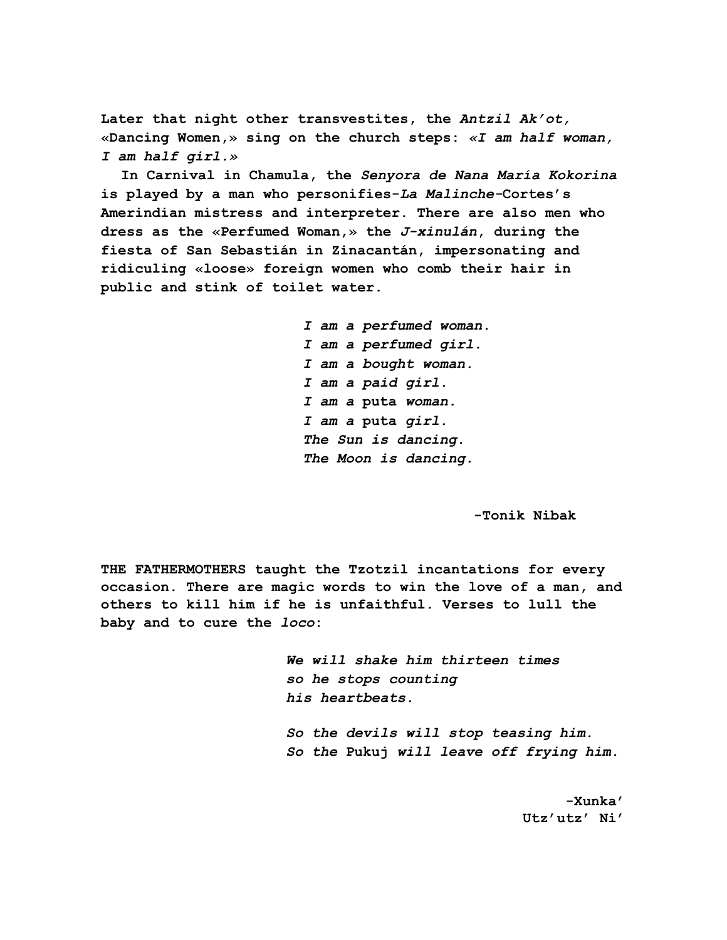**Later that night other transvestites, the** *Antzil Ak'ot,* **«Dancing Women,» sing on the church steps:** *«I am half woman, I am half girl.»*

**In Carnival in Chamula, the** *Senyora de Nana María Kokorina* **is played by a man who personifies-***La Malinche-***Cortes's Amerindian mistress and interpreter. There are also men who dress as the «Perfumed Woman,» the** *J-xinulán***, during the fiesta of San Sebastián in Zinacantán, impersonating and ridiculing «loose» foreign women who comb their hair in public and stink of toilet water.**

> *I am a perfumed woman. I am a perfumed girl. I am a bought woman. I am a paid girl. I am a* **puta** *woman. I am a* **puta** *girl. The Sun is dancing. The Moon is dancing.*

> > **-Tonik Nibak**

**THE FATHERMOTHERS taught the Tzotzil incantations for every occasion. There are magic words to win the love of a man, and others to kill him if he is unfaithful. Verses to lull the baby and to cure the** *loco***:**

> *We will shake him thirteen times so he stops counting his heartbeats.*

*So the devils will stop teasing him. So the* **Pukuj** *will leave off frying him.*

 **-Xunka' Utz'utz' Ni'**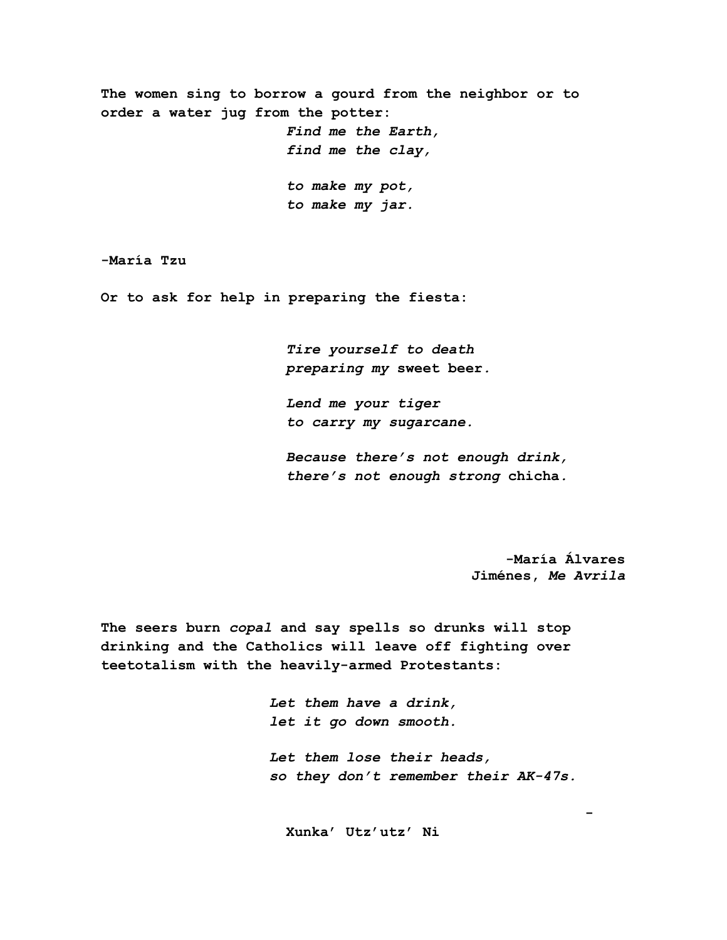**The women sing to borrow a gourd from the neighbor or to order a water jug from the potter:** *Find me the Earth, find me the clay, to make my pot, to make my jar.*

**-María Tzu**

**Or to ask for help in preparing the fiesta:**

*Tire yourself to death preparing my* **sweet beer***.*

*Lend me your tiger to carry my sugarcane.*

*Because there's not enough drink, there's not enough strong* **chicha***.*

> **-María Álvares Jiménes,** *Me Avrila*

**The seers burn** *copal* **and say spells so drunks will stop drinking and the Catholics will leave off fighting over teetotalism with the heavily-armed Protestants:**

> *Let them have a drink, let it go down smooth. Let them lose their heads, so they don't remember their AK-47s.*

**-**

**Xunka' Utz'utz' Ni**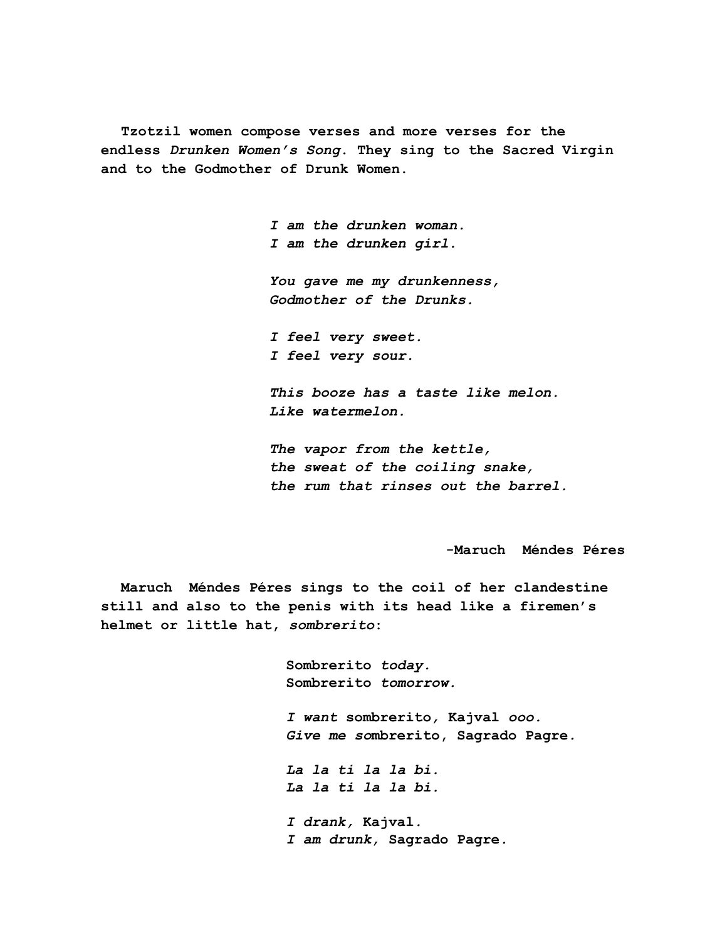**Tzotzil women compose verses and more verses for the endless** *Drunken Women's Song***. They sing to the Sacred Virgin and to the Godmother of Drunk Women.**

> *I am the drunken woman. I am the drunken girl. You gave me my drunkenness, Godmother of the Drunks. I feel very sweet. I feel very sour. This booze has a taste like melon. Like watermelon.*

*The vapor from the kettle, the sweat of the coiling snake, the rum that rinses out the barrel.*

**-Maruch Méndes Péres**

**Maruch Méndes Péres sings to the coil of her clandestine still and also to the penis with its head like a firemen's helmet or little hat,** *sombrerito***:**

> **Sombrerito** *today.* **Sombrerito** *tomorrow. I want* **sombrerito***,* **Kajval** *ooo. Give me so***mbrerito, Sagrado Pagre***. La la ti la la bi. La la ti la la bi. I drank,* **Kajval***. I am drunk,* **Sagrado Pagre***.*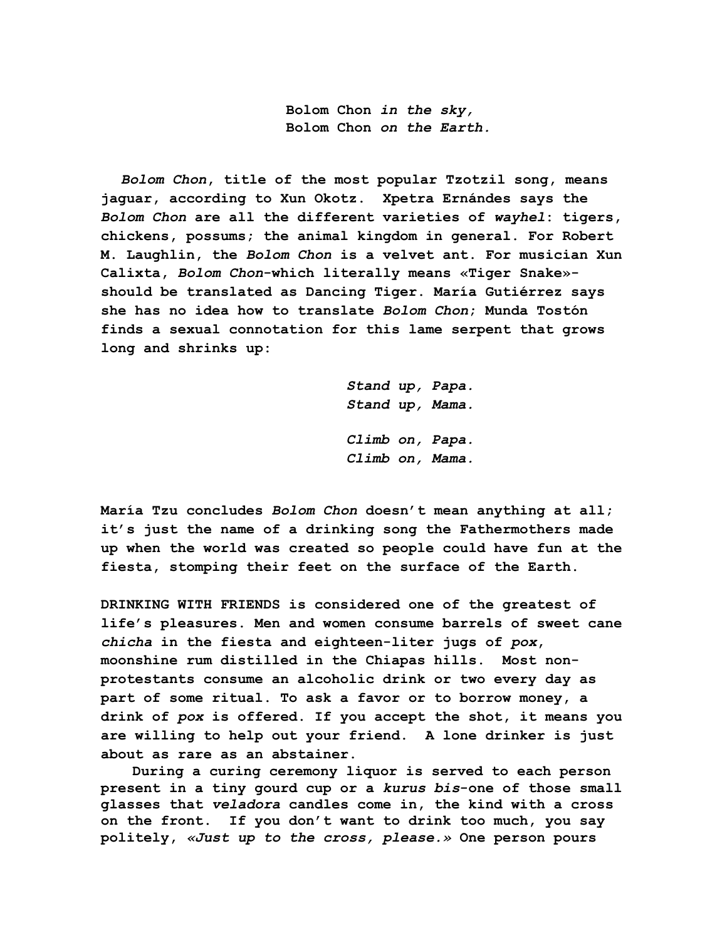**Bolom Chon** *in the sky,* **Bolom Chon** *on the Earth.*

*Bolom Chon***, title of the most popular Tzotzil song, means jaguar, according to Xun Okotz. Xpetra Ernándes says the** *Bolom Chon* **are all the different varieties of** *wayhel***: tigers, chickens, possums; the animal kingdom in general. For Robert M. Laughlin, the** *Bolom Chon* **is a velvet ant. For musician Xun Calixta,** *Bolom Chon***-which literally means «Tiger Snake» should be translated as Dancing Tiger. María Gutiérrez says she has no idea how to translate** *Bolom Chon***; Munda Tostón finds a sexual connotation for this lame serpent that grows long and shrinks up:**

> *Stand up, Papa. Stand up, Mama. Climb on, Papa. Climb on, Mama.*

**María Tzu concludes** *Bolom Chon* **doesn't mean anything at all; it's just the name of a drinking song the Fathermothers made up when the world was created so people could have fun at the fiesta, stomping their feet on the surface of the Earth.**

**DRINKING WITH FRIENDS is considered one of the greatest of life's pleasures. Men and women consume barrels of sweet cane** *chicha* **in the fiesta and eighteen-liter jugs of** *pox***, moonshine rum distilled in the Chiapas hills. Most nonprotestants consume an alcoholic drink or two every day as part of some ritual. To ask a favor or to borrow money, a drink of** *pox* **is offered. If you accept the shot, it means you are willing to help out your friend. A lone drinker is just about as rare as an abstainer.**

 **During a curing ceremony liquor is served to each person present in a tiny gourd cup or a** *kurus bis***-one of those small glasses that** *veladora* **candles come in, the kind with a cross on the front. If you don't want to drink too much, you say politely,** *«Just up to the cross, please.»* **One person pours**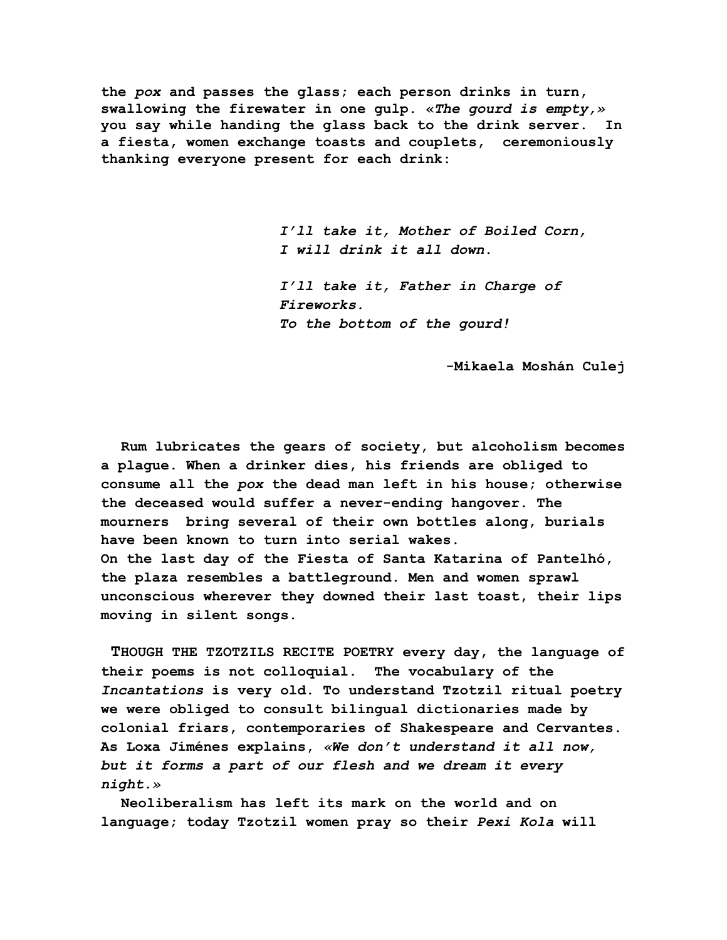**the** *pox* **and passes the glass; each person drinks in turn, swallowing the firewater in one gulp. «***The gourd is empty,»* **you say while handing the glass back to the drink server. In a fiesta, women exchange toasts and couplets, ceremoniously thanking everyone present for each drink:**

> *I'll take it, Mother of Boiled Corn, I will drink it all down.*

*I'll take it, Father in Charge of Fireworks. To the bottom of the gourd!*

 **-Mikaela Moshán Culej**

**Rum lubricates the gears of society, but alcoholism becomes a plague. When a drinker dies, his friends are obliged to consume all the** *pox* **the dead man left in his house; otherwise the deceased would suffer a never-ending hangover. The mourners bring several of their own bottles along, burials have been known to turn into serial wakes. On the last day of the Fiesta of Santa Katarina of Pantelhó, the plaza resembles a battleground. Men and women sprawl unconscious wherever they downed their last toast, their lips moving in silent songs.**

 **THOUGH THE TZOTZILS RECITE POETRY every day, the language of their poems is not colloquial. The vocabulary of the** *Incantations* **is very old. To understand Tzotzil ritual poetry we were obliged to consult bilingual dictionaries made by colonial friars, contemporaries of Shakespeare and Cervantes. As Loxa Jiménes explains,** *«We don't understand it all now, but it forms a part of our flesh and we dream it every night.»*

**Neoliberalism has left its mark on the world and on language; today Tzotzil women pray so their** *Pexi Kola* **will**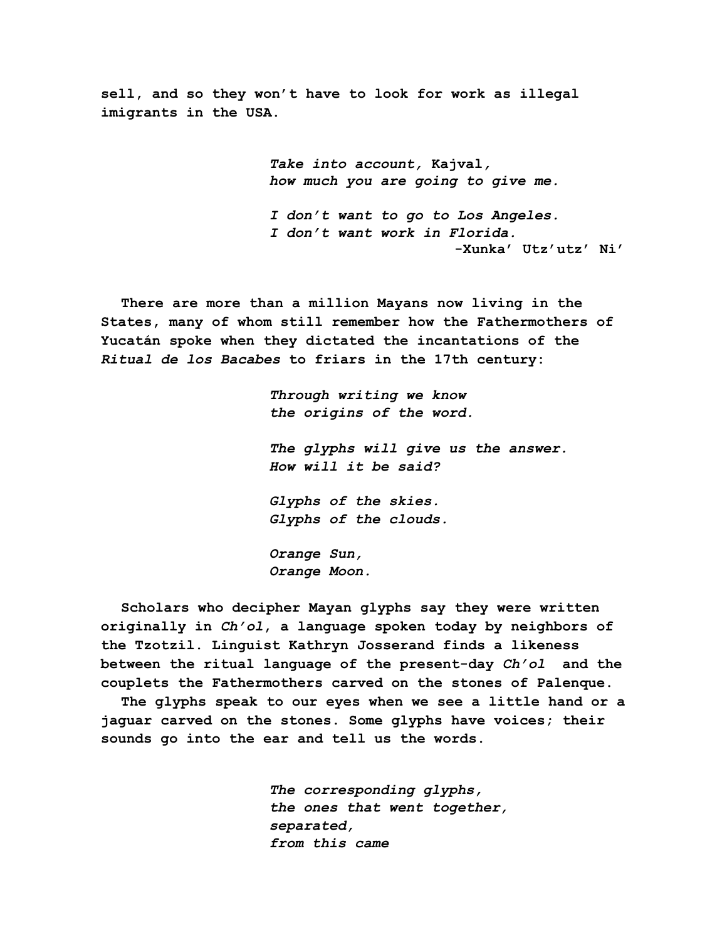**sell, and so they won't have to look for work as illegal imigrants in the USA.**

> *Take into account,* **Kajval***, how much you are going to give me. I don't want to go to Los Angeles. I don't want work in Florida.* **-Xunka' Utz'utz' Ni'**

**There are more than a million Mayans now living in the States, many of whom still remember how the Fathermothers of Yucatán spoke when they dictated the incantations of the** *Ritual de los Bacabes* **to friars in the 17th century:**

> *Through writing we know the origins of the word. The glyphs will give us the answer. How will it be said? Glyphs of the skies. Glyphs of the clouds. Orange Sun, Orange Moon.*

**Scholars who decipher Mayan glyphs say they were written originally in** *Ch'ol***, a language spoken today by neighbors of the Tzotzil. Linguist Kathryn Josserand finds a likeness between the ritual language of the present-day** *Ch'ol* **and the couplets the Fathermothers carved on the stones of Palenque.**

**The glyphs speak to our eyes when we see a little hand or a jaguar carved on the stones. Some glyphs have voices; their sounds go into the ear and tell us the words.**

> *The corresponding glyphs, the ones that went together, separated, from this came*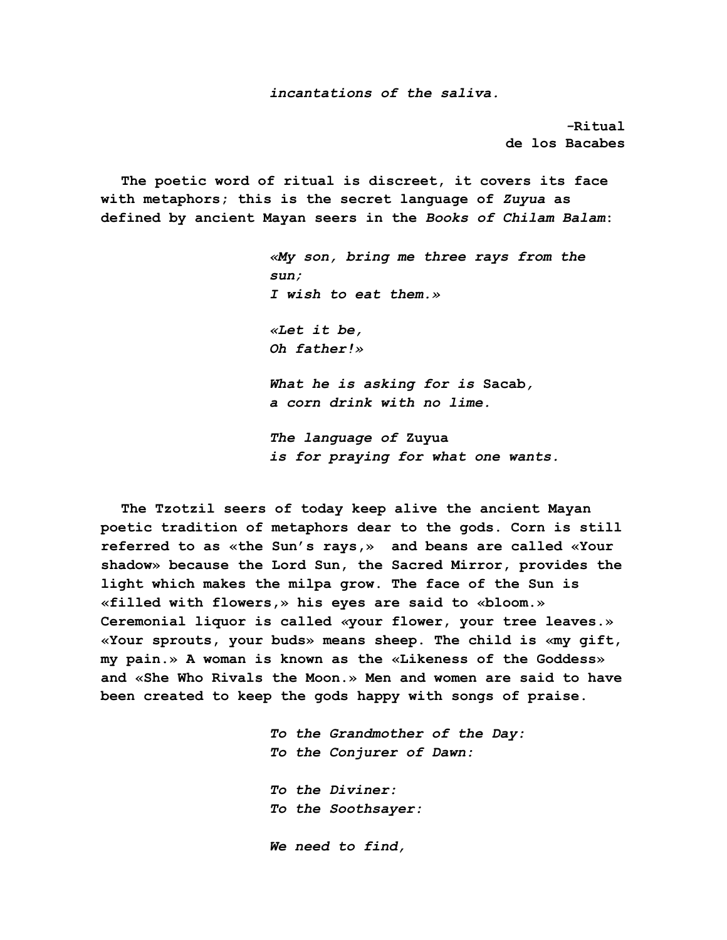*incantations of the saliva.* 

*-***Ritual de los Bacabes**

**The poetic word of ritual is discreet, it covers its face with metaphors; this is the secret language of** *Zuyua* **as defined by ancient Mayan seers in the** *Books of Chilam Balam***:**

> *«My son, bring me three rays from the sun; I wish to eat them.» «Let it be, Oh father!» What he is asking for is* **Sacab***, a corn drink with no lime. The language of* **Zuyua**

*is for praying for what one wants.*

**The Tzotzil seers of today keep alive the ancient Mayan poetic tradition of metaphors dear to the gods. Corn is still referred to as «the Sun's rays,» and beans are called «Your shadow» because the Lord Sun, the Sacred Mirror, provides the light which makes the milpa grow. The face of the Sun is «filled with flowers,» his eyes are said to «bloom.» Ceremonial liquor is called** *«***your flower, your tree leaves.» «Your sprouts, your buds» means sheep. The child is «my gift, my pain.» A woman is known as the «Likeness of the Goddess» and «She Who Rivals the Moon.» Men and women are said to have been created to keep the gods happy with songs of praise.**

> *To the Grandmother of the Day: To the Conjurer of Dawn:*

*To the Diviner: To the Soothsayer:*

*We need to find,*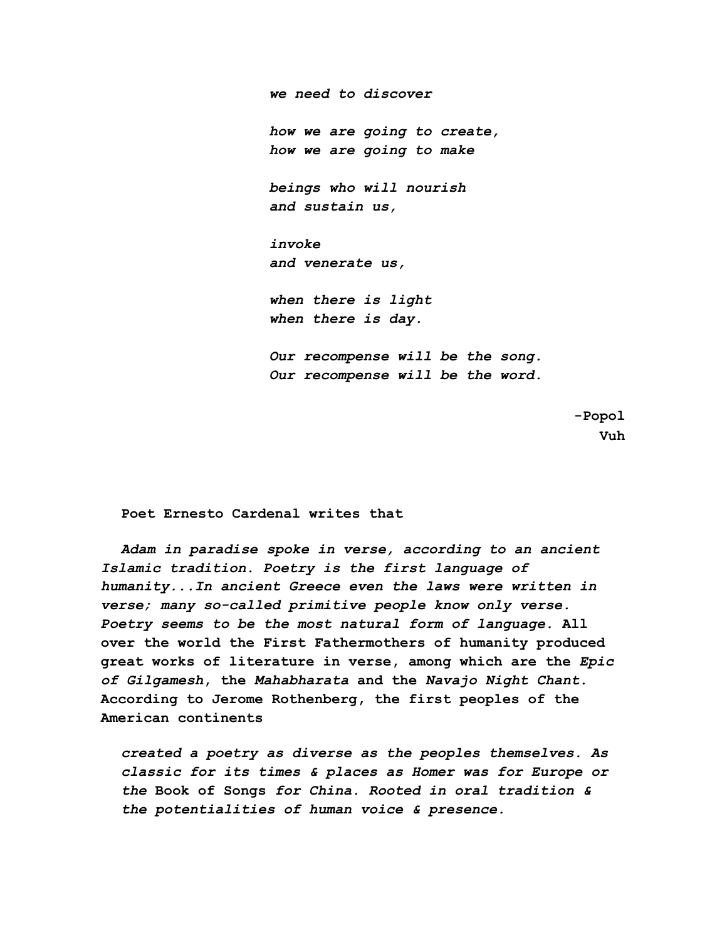*we need to discover how we are going to create, how we are going to make beings who will nourish and sustain us, invoke and venerate us, when there is light when there is day. Our recompense will be the song. Our recompense will be the word.*

> **-Popol Vuh**

**Poet Ernesto Cardenal writes that**

*Adam in paradise spoke in verse, according to an ancient Islamic tradition. Poetry is the first language of humanity...In ancient Greece even the laws were written in verse; many so-called primitive people know only verse. Poetry seems to be the most natural form of language.* **All over the world the First Fathermothers of humanity produced great works of literature in verse, among which are the** *Epic of Gilgamesh***, the** *Mahabharata* **and the** *Navajo Night Chant***. According to Jerome Rothenberg, the first peoples of the American continents**

*created a poetry as diverse as the peoples themselves. As classic for its times & places as Homer was for Europe or the* **Book of Songs** *for China. Rooted in oral tradition & the potentialities of human voice & presence.*